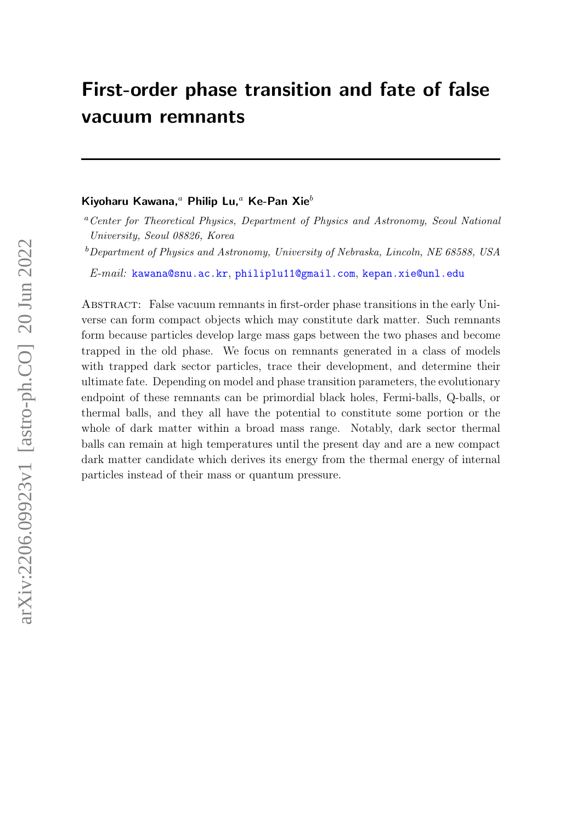# First-order phase transition and fate of false vacuum remnants

#### Kiyoharu Kawana,<sup>a</sup> Philip Lu,<sup>a</sup> Ke-Pan Xie<sup>b</sup>

 $b$ Department of Physics and Astronomy, University of Nebraska, Lincoln, NE 68588, USA

E-mail: [kawana@snu.ac.kr](mailto:kawana@snu.ac.kr), [philiplu11@gmail.com](mailto:philiplu11@gmail.com), [kepan.xie@unl.edu](mailto:kepan.xie@unl.edu)

Abstract: False vacuum remnants in first-order phase transitions in the early Universe can form compact objects which may constitute dark matter. Such remnants form because particles develop large mass gaps between the two phases and become trapped in the old phase. We focus on remnants generated in a class of models with trapped dark sector particles, trace their development, and determine their ultimate fate. Depending on model and phase transition parameters, the evolutionary endpoint of these remnants can be primordial black holes, Fermi-balls, Q-balls, or thermal balls, and they all have the potential to constitute some portion or the whole of dark matter within a broad mass range. Notably, dark sector thermal balls can remain at high temperatures until the present day and are a new compact dark matter candidate which derives its energy from the thermal energy of internal particles instead of their mass or quantum pressure.

<sup>a</sup>Center for Theoretical Physics, Department of Physics and Astronomy, Seoul National University, Seoul 08826, Korea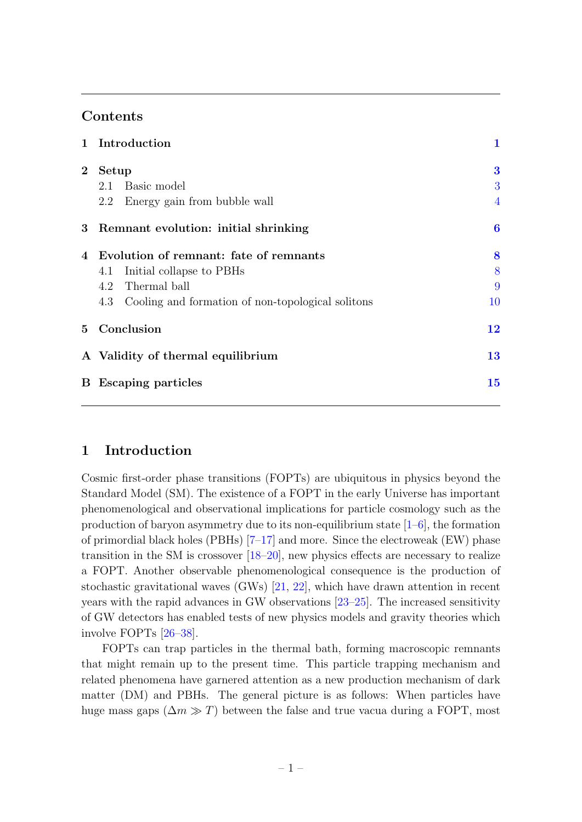# Contents

|                | 1 Introduction                                        | 1              |
|----------------|-------------------------------------------------------|----------------|
| $\overline{2}$ | Setup                                                 | $\bf{3}$       |
|                | 2.1 Basic model                                       | 3              |
|                | 2.2 Energy gain from bubble wall                      | $\overline{4}$ |
|                | 3 Remnant evolution: initial shrinking                | 6              |
|                | 4 Evolution of remnant: fate of remnants              | 8              |
|                | Initial collapse to PBHs<br>4.1                       | 8              |
|                | 4.2 Thermal ball                                      | 9              |
|                | 4.3 Cooling and formation of non-topological solitons | 10             |
| $5^{\circ}$    | Conclusion                                            | 12             |
|                | A Validity of thermal equilibrium                     | 13             |
|                | <b>B</b> Escaping particles                           | 15             |
|                |                                                       |                |

# <span id="page-1-0"></span>1 Introduction

Cosmic first-order phase transitions (FOPTs) are ubiquitous in physics beyond the Standard Model (SM). The existence of a FOPT in the early Universe has important phenomenological and observational implications for particle cosmology such as the production of baryon asymmetry due to its non-equilibrium state  $[1-6]$  $[1-6]$ , the formation of primordial black holes (PBHs) [\[7–](#page-16-2)[17\]](#page-16-3) and more. Since the electroweak (EW) phase transition in the SM is crossover [\[18–](#page-17-0)[20\]](#page-17-1), new physics effects are necessary to realize a FOPT. Another observable phenomenological consequence is the production of stochastic gravitational waves (GWs) [\[21,](#page-17-2) [22\]](#page-17-3), which have drawn attention in recent years with the rapid advances in GW observations [\[23–](#page-17-4)[25\]](#page-17-5). The increased sensitivity of GW detectors has enabled tests of new physics models and gravity theories which involve FOPTs [\[26–](#page-17-6)[38\]](#page-18-0).

FOPTs can trap particles in the thermal bath, forming macroscopic remnants that might remain up to the present time. This particle trapping mechanism and related phenomena have garnered attention as a new production mechanism of dark matter (DM) and PBHs. The general picture is as follows: When particles have huge mass gaps  $(\Delta m \gg T)$  between the false and true vacua during a FOPT, most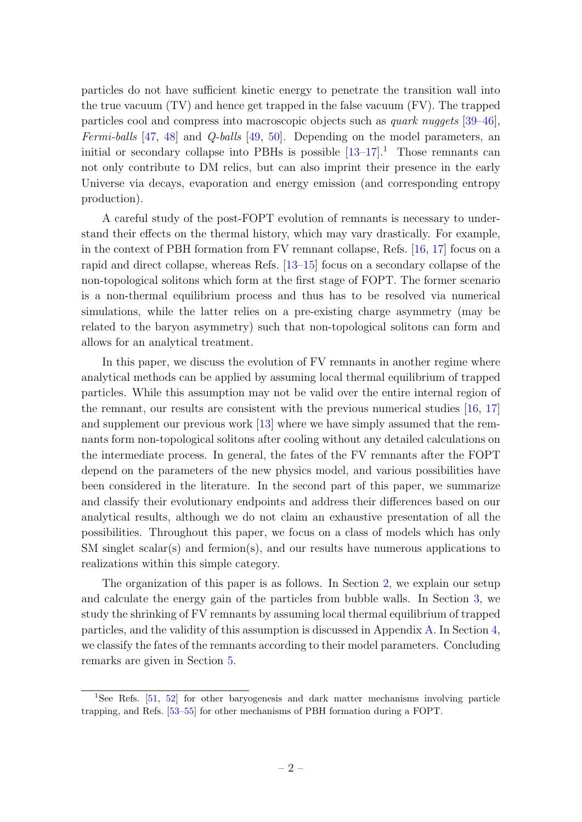particles do not have sufficient kinetic energy to penetrate the transition wall into the true vacuum (TV) and hence get trapped in the false vacuum (FV). The trapped particles cool and compress into macroscopic objects such as quark nuggets [\[39–](#page-18-1)[46\]](#page-18-2), Fermi-balls [\[47,](#page-18-3) [48\]](#page-19-0) and Q-balls [\[49,](#page-19-1) [50\]](#page-19-2). Depending on the model parameters, an initial or secondary collapse into PBHs is possible  $[13-17]$  $[13-17]$ <sup>[1](#page-2-0)</sup>. Those remnants can not only contribute to DM relics, but can also imprint their presence in the early Universe via decays, evaporation and energy emission (and corresponding entropy production).

A careful study of the post-FOPT evolution of remnants is necessary to understand their effects on the thermal history, which may vary drastically. For example, in the context of PBH formation from FV remnant collapse, Refs. [\[16,](#page-16-5) [17\]](#page-16-3) focus on a rapid and direct collapse, whereas Refs. [\[13](#page-16-4)[–15\]](#page-16-6) focus on a secondary collapse of the non-topological solitons which form at the first stage of FOPT. The former scenario is a non-thermal equilibrium process and thus has to be resolved via numerical simulations, while the latter relies on a pre-existing charge asymmetry (may be related to the baryon asymmetry) such that non-topological solitons can form and allows for an analytical treatment.

In this paper, we discuss the evolution of FV remnants in another regime where analytical methods can be applied by assuming local thermal equilibrium of trapped particles. While this assumption may not be valid over the entire internal region of the remnant, our results are consistent with the previous numerical studies [\[16,](#page-16-5) [17\]](#page-16-3) and supplement our previous work [\[13\]](#page-16-4) where we have simply assumed that the remnants form non-topological solitons after cooling without any detailed calculations on the intermediate process. In general, the fates of the FV remnants after the FOPT depend on the parameters of the new physics model, and various possibilities have been considered in the literature. In the second part of this paper, we summarize and classify their evolutionary endpoints and address their differences based on our analytical results, although we do not claim an exhaustive presentation of all the possibilities. Throughout this paper, we focus on a class of models which has only SM singlet scalar(s) and fermion(s), and our results have numerous applications to realizations within this simple category.

The organization of this paper is as follows. In Section [2,](#page-3-0) we explain our setup and calculate the energy gain of the particles from bubble walls. In Section [3,](#page-6-0) we study the shrinking of FV remnants by assuming local thermal equilibrium of trapped particles, and the validity of this assumption is discussed in Appendix [A.](#page-13-0) In Section [4,](#page-8-0) we classify the fates of the remnants according to their model parameters. Concluding remarks are given in Section [5.](#page-12-0)

<span id="page-2-0"></span><sup>1</sup>See Refs. [\[51,](#page-19-3) [52\]](#page-19-4) for other baryogenesis and dark matter mechanisms involving particle trapping, and Refs. [\[53](#page-19-5)[–55\]](#page-19-6) for other mechanisms of PBH formation during a FOPT.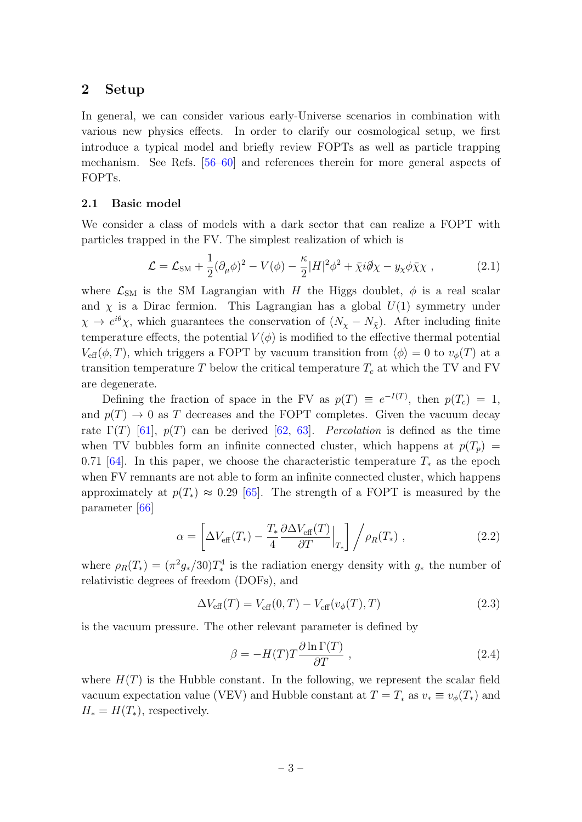## <span id="page-3-0"></span>2 Setup

In general, we can consider various early-Universe scenarios in combination with various new physics effects. In order to clarify our cosmological setup, we first introduce a typical model and briefly review FOPTs as well as particle trapping mechanism. See Refs. [\[56–](#page-19-7)[60\]](#page-19-8) and references therein for more general aspects of FOPTs.

### <span id="page-3-1"></span>2.1 Basic model

We consider a class of models with a dark sector that can realize a FOPT with particles trapped in the FV. The simplest realization of which is

<span id="page-3-2"></span>
$$
\mathcal{L} = \mathcal{L}_{\text{SM}} + \frac{1}{2} (\partial_{\mu} \phi)^2 - V(\phi) - \frac{\kappa}{2} |H|^2 \phi^2 + \bar{\chi} i \partial \chi - y_{\chi} \phi \bar{\chi} \chi , \qquad (2.1)
$$

where  $\mathcal{L}_{SM}$  is the SM Lagrangian with H the Higgs doublet,  $\phi$  is a real scalar and  $\chi$  is a Dirac fermion. This Lagrangian has a global  $U(1)$  symmetry under  $\chi \to e^{i\theta}\chi$ , which guarantees the conservation of  $(N_{\chi} - N_{\bar{\chi}})$ . After including finite temperature effects, the potential  $V(\phi)$  is modified to the effective thermal potential  $V_{\text{eff}}(\phi, T)$ , which triggers a FOPT by vacuum transition from  $\langle \phi \rangle = 0$  to  $v_{\phi}(T)$  at a transition temperature  $T$  below the critical temperature  $T_c$  at which the TV and FV are degenerate.

Defining the fraction of space in the FV as  $p(T) \equiv e^{-I(T)}$ , then  $p(T_c) = 1$ , and  $p(T) \rightarrow 0$  as T decreases and the FOPT completes. Given the vacuum decay rate  $\Gamma(T)$  [\[61\]](#page-19-9),  $p(T)$  can be derived [\[62,](#page-19-10) [63\]](#page-19-11). Percolation is defined as the time when TV bubbles form an infinite connected cluster, which happens at  $p(T_p)$  = 0.71 [\[64\]](#page-20-0). In this paper, we choose the characteristic temperature  $T_*$  as the epoch when FV remnants are not able to form an infinite connected cluster, which happens approximately at  $p(T_*) \approx 0.29$  [\[65\]](#page-20-1). The strength of a FOPT is measured by the parameter [\[66\]](#page-20-2)

$$
\alpha = \left[ \Delta V_{\text{eff}}(T_*) - \frac{T_*}{4} \frac{\partial \Delta V_{\text{eff}}(T)}{\partial T} \Big|_{T_*} \right] / \rho_R(T_*) \;, \tag{2.2}
$$

where  $\rho_R(T_*) = (\pi^2 g_*/30)T_*^4$  is the radiation energy density with  $g_*$  the number of relativistic degrees of freedom (DOFs), and

$$
\Delta V_{\text{eff}}(T) = V_{\text{eff}}(0, T) - V_{\text{eff}}(v_{\phi}(T), T)
$$
\n(2.3)

is the vacuum pressure. The other relevant parameter is defined by

$$
\beta = -H(T)T \frac{\partial \ln \Gamma(T)}{\partial T} , \qquad (2.4)
$$

where  $H(T)$  is the Hubble constant. In the following, we represent the scalar field vacuum expectation value (VEV) and Hubble constant at  $T = T_*$  as  $v_* \equiv v_\phi(T_*)$  and  $H_* = H(T_*),$  respectively.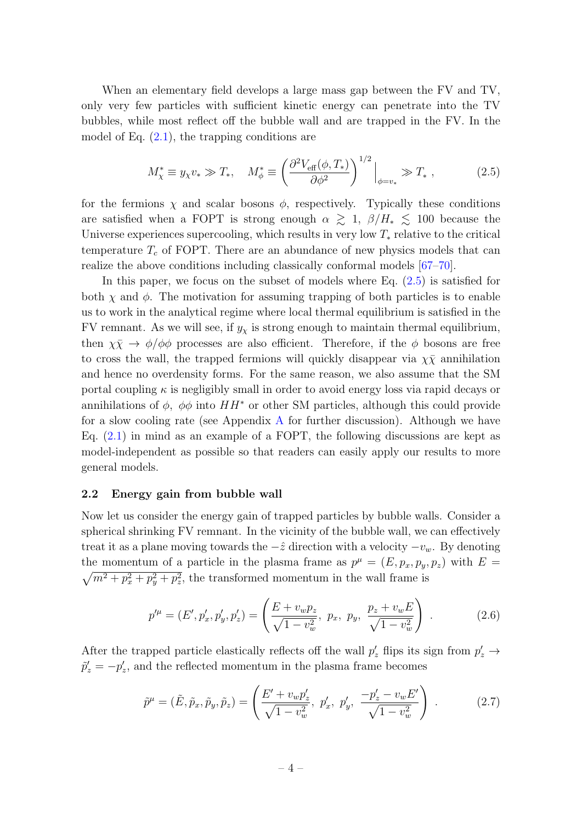When an elementary field develops a large mass gap between the FV and TV, only very few particles with sufficient kinetic energy can penetrate into the TV bubbles, while most reflect off the bubble wall and are trapped in the FV. In the model of Eq.  $(2.1)$ , the trapping conditions are

<span id="page-4-1"></span>
$$
M_{\chi}^* \equiv y_{\chi} v_* \gg T_*, \quad M_{\phi}^* \equiv \left(\frac{\partial^2 V_{\text{eff}}(\phi, T_*)}{\partial \phi^2}\right)^{1/2} \Big|_{\phi = v_*} \gg T_*, \tag{2.5}
$$

for the fermions  $\chi$  and scalar bosons  $\phi$ , respectively. Typically these conditions are satisfied when a FOPT is strong enough  $\alpha \geq 1$ ,  $\beta/H_* \leq 100$  because the Universe experiences supercooling, which results in very low  $T_*$  relative to the critical temperature  $T_c$  of FOPT. There are an abundance of new physics models that can realize the above conditions including classically conformal models [\[67–](#page-20-3)[70\]](#page-20-4).

In this paper, we focus on the subset of models where Eq.  $(2.5)$  is satisfied for both  $\chi$  and  $\phi$ . The motivation for assuming trapping of both particles is to enable us to work in the analytical regime where local thermal equilibrium is satisfied in the FV remnant. As we will see, if  $y_{\chi}$  is strong enough to maintain thermal equilibrium, then  $\chi \bar{\chi} \to \phi/\phi \phi$  processes are also efficient. Therefore, if the  $\phi$  bosons are free to cross the wall, the trapped fermions will quickly disappear via  $\chi \bar{\chi}$  annihilation and hence no overdensity forms. For the same reason, we also assume that the SM portal coupling  $\kappa$  is negligibly small in order to avoid energy loss via rapid decays or annihilations of  $\phi$ ,  $\phi\phi$  into  $HH^*$  or other SM particles, although this could provide for a slow cooling rate (see [A](#page-13-0)ppendix  $\overline{A}$  for further discussion). Although we have Eq.  $(2.1)$  in mind as an example of a FOPT, the following discussions are kept as model-independent as possible so that readers can easily apply our results to more general models.

#### <span id="page-4-0"></span>2.2 Energy gain from bubble wall

Now let us consider the energy gain of trapped particles by bubble walls. Consider a spherical shrinking FV remnant. In the vicinity of the bubble wall, we can effectively treat it as a plane moving towards the  $-\hat{z}$  direction with a velocity  $-v_w$ . By denoting the momentum of a particle in the plasma frame as  $p^{\mu} = (E, p_x, p_y, p_z)$  with  $E =$  $\sqrt{m^2 + p_x^2 + p_y^2 + p_z^2}$ , the transformed momentum in the wall frame is

$$
p^{\prime \mu} = (E', p_x', p_y', p_z') = \left(\frac{E + v_w p_z}{\sqrt{1 - v_w^2}}, p_x, p_y, \frac{p_z + v_w E}{\sqrt{1 - v_w^2}}\right) .
$$
 (2.6)

After the trapped particle elastically reflects off the wall  $p'_z$  flips its sign from  $p'_z \rightarrow$  $\tilde{p}'_z = -p'_z$ , and the reflected momentum in the plasma frame becomes

$$
\tilde{p}^{\mu} = (\tilde{E}, \tilde{p}_x, \tilde{p}_y, \tilde{p}_z) = \left(\frac{E' + v_w p'_z}{\sqrt{1 - v_w^2}}, \ p'_x, \ p'_y, \ \frac{-p'_z - v_w E'}{\sqrt{1 - v_w^2}}\right) \ . \tag{2.7}
$$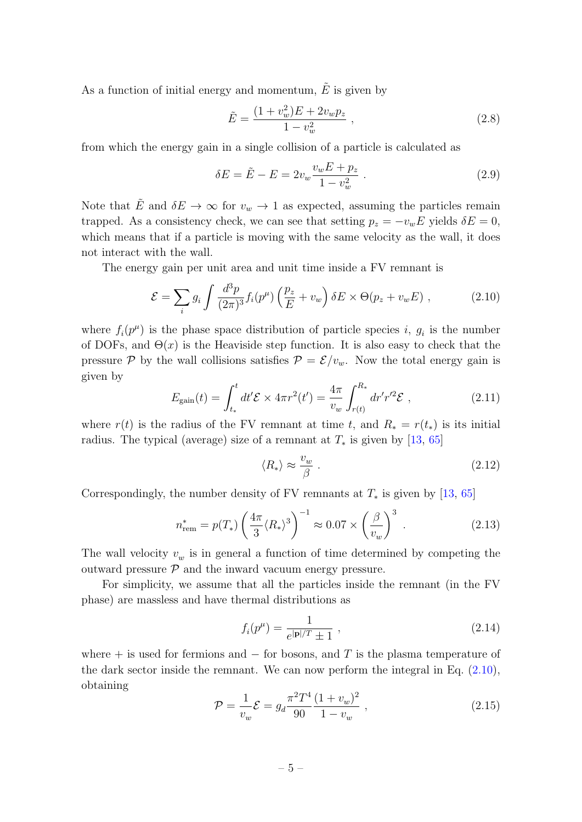As a function of initial energy and momentum,  $\tilde{E}$  is given by

$$
\tilde{E} = \frac{(1 + v_w^2)E + 2v_w p_z}{1 - v_w^2} \,, \tag{2.8}
$$

from which the energy gain in a single collision of a particle is calculated as

<span id="page-5-5"></span>
$$
\delta E = \tilde{E} - E = 2v_w \frac{v_w E + p_z}{1 - v_w^2} \,. \tag{2.9}
$$

Note that  $\tilde{E}$  and  $\delta E \to \infty$  for  $v_w \to 1$  as expected, assuming the particles remain trapped. As a consistency check, we can see that setting  $p_z = -v_w E$  yields  $\delta E = 0$ , which means that if a particle is moving with the same velocity as the wall, it does not interact with the wall.

The energy gain per unit area and unit time inside a FV remnant is

<span id="page-5-0"></span>
$$
\mathcal{E} = \sum_{i} g_i \int \frac{d^3 p}{(2\pi)^3} f_i(p^\mu) \left(\frac{p_z}{E} + v_w\right) \delta E \times \Theta(p_z + v_w E) , \qquad (2.10)
$$

where  $f_i(p^{\mu})$  is the phase space distribution of particle species i,  $g_i$  is the number of DOFs, and  $\Theta(x)$  is the Heaviside step function. It is also easy to check that the pressure P by the wall collisions satisfies  $P = \mathcal{E}/v_w$ . Now the total energy gain is given by

<span id="page-5-1"></span>
$$
E_{\text{gain}}(t) = \int_{t_*}^{t} dt' \mathcal{E} \times 4\pi r^2(t') = \frac{4\pi}{v_w} \int_{r(t)}^{R_*} dr' r'^2 \mathcal{E} , \qquad (2.11)
$$

where  $r(t)$  is the radius of the FV remnant at time t, and  $R_* = r(t_*)$  is its initial radius. The typical (average) size of a remnant at  $T_*$  is given by [\[13,](#page-16-4) [65\]](#page-20-1)

<span id="page-5-3"></span>
$$
\langle R_* \rangle \approx \frac{v_w}{\beta} \ . \tag{2.12}
$$

Correspondingly, the number density of FV remnants at  $T_*$  is given by [\[13,](#page-16-4) [65\]](#page-20-1)

<span id="page-5-4"></span>
$$
n_{\text{rem}}^* = p(T_*) \left(\frac{4\pi}{3} \langle R_* \rangle^3\right)^{-1} \approx 0.07 \times \left(\frac{\beta}{v_w}\right)^3 \tag{2.13}
$$

The wall velocity  $v_w$  is in general a function of time determined by competing the outward pressure  $P$  and the inward vacuum energy pressure.

For simplicity, we assume that all the particles inside the remnant (in the FV phase) are massless and have thermal distributions as

$$
f_i(p^{\mu}) = \frac{1}{e^{|\mathbf{p}|/T} \pm 1} \,, \tag{2.14}
$$

where  $+$  is used for fermions and  $-$  for bosons, and T is the plasma temperature of the dark sector inside the remnant. We can now perform the integral in Eq.  $(2.10)$ , obtaining

<span id="page-5-2"></span>
$$
\mathcal{P} = \frac{1}{v_w} \mathcal{E} = g_d \frac{\pi^2 T^4}{90} \frac{(1 + v_w)^2}{1 - v_w} , \qquad (2.15)
$$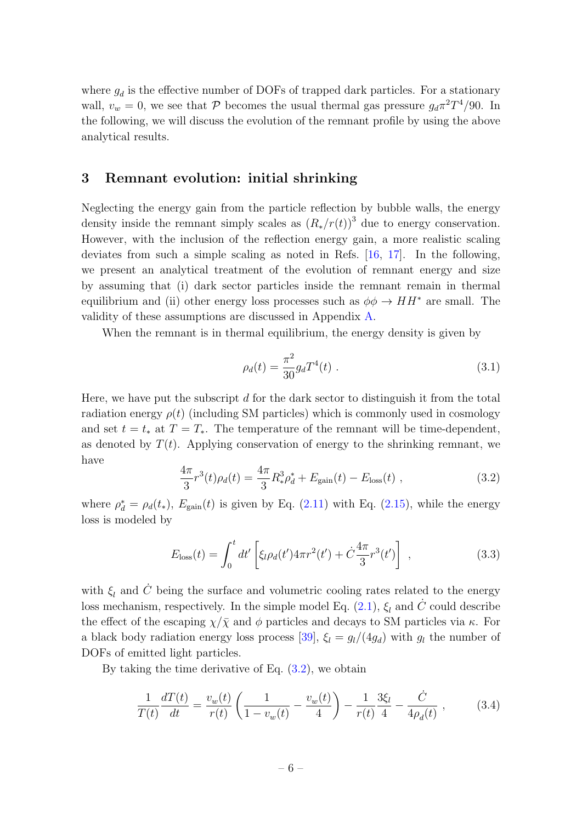where  $g_d$  is the effective number of DOFs of trapped dark particles. For a stationary wall,  $v_w = 0$ , we see that  $P$  becomes the usual thermal gas pressure  $g_d \pi^2 T^4/90$ . In the following, we will discuss the evolution of the remnant profile by using the above analytical results.

## <span id="page-6-0"></span>3 Remnant evolution: initial shrinking

Neglecting the energy gain from the particle reflection by bubble walls, the energy density inside the remnant simply scales as  $(R_*/r(t))^3$  due to energy conservation. However, with the inclusion of the reflection energy gain, a more realistic scaling deviates from such a simple scaling as noted in Refs. [\[16,](#page-16-5) [17\]](#page-16-3). In the following, we present an analytical treatment of the evolution of remnant energy and size by assuming that (i) dark sector particles inside the remnant remain in thermal equilibrium and (ii) other energy loss processes such as  $\phi \phi \to HH^*$  are small. The validity of these assumptions are discussed in Appendix [A.](#page-13-0)

When the remnant is in thermal equilibrium, the energy density is given by

$$
\rho_d(t) = \frac{\pi^2}{30} g_d T^4(t) \tag{3.1}
$$

Here, we have put the subscript  $d$  for the dark sector to distinguish it from the total radiation energy  $\rho(t)$  (including SM particles) which is commonly used in cosmology and set  $t = t_*$  at  $T = T_*$ . The temperature of the remnant will be time-dependent, as denoted by  $T(t)$ . Applying conservation of energy to the shrinking remnant, we have

<span id="page-6-1"></span>
$$
\frac{4\pi}{3}r^3(t)\rho_d(t) = \frac{4\pi}{3}R_*^3\rho_d^* + E_{\text{gain}}(t) - E_{\text{loss}}(t) ,\qquad (3.2)
$$

where  $\rho_d^* = \rho_d(t_*)$ ,  $E_{\text{gain}}(t)$  is given by Eq. [\(2.11\)](#page-5-1) with Eq. [\(2.15\)](#page-5-2), while the energy loss is modeled by

$$
E_{\rm loss}(t) = \int_0^t dt' \left[ \xi_l \rho_d(t') 4\pi r^2(t') + \dot{C} \frac{4\pi}{3} r^3(t') \right] , \qquad (3.3)
$$

with  $\xi_l$  and  $\dot{C}$  being the surface and volumetric cooling rates related to the energy loss mechanism, respectively. In the simple model Eq.  $(2.1)$ ,  $\xi_l$  and  $\dot{C}$  could describe the effect of the escaping  $\chi/\bar{\chi}$  and  $\phi$  particles and decays to SM particles via  $\kappa$ . For a black body radiation energy loss process [\[39\]](#page-18-1),  $\xi_l = g_l/(4g_d)$  with  $g_l$  the number of DOFs of emitted light particles.

By taking the time derivative of Eq.  $(3.2)$ , we obtain

<span id="page-6-2"></span>
$$
\frac{1}{T(t)}\frac{dT(t)}{dt} = \frac{v_w(t)}{r(t)}\left(\frac{1}{1 - v_w(t)} - \frac{v_w(t)}{4}\right) - \frac{1}{r(t)}\frac{3\xi_l}{4} - \frac{\dot{C}}{4\rho_d(t)} ,\qquad (3.4)
$$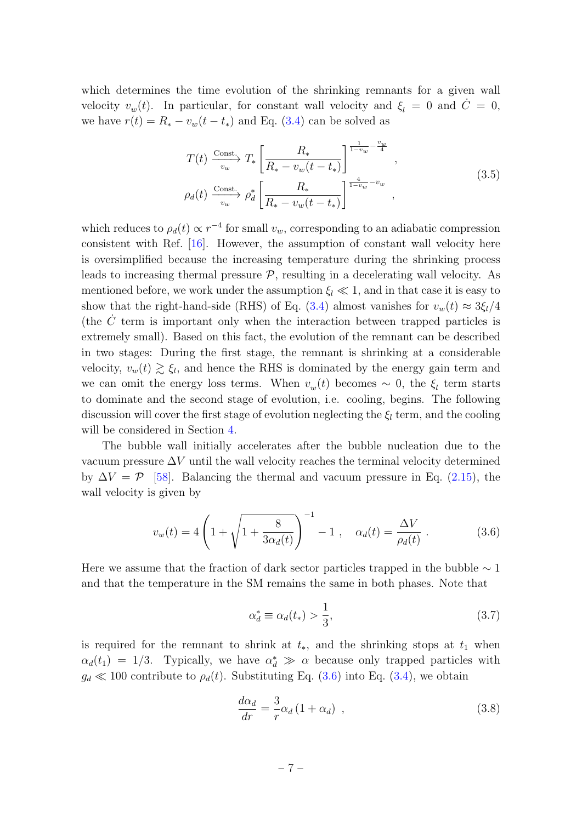which determines the time evolution of the shrinking remnants for a given wall velocity  $v_w(t)$ . In particular, for constant wall velocity and  $\xi_l = 0$  and  $\dot{C} = 0$ , we have  $r(t) = R_* - v_w(t - t_*)$  and Eq. [\(3.4\)](#page-6-2) can be solved as

$$
T(t) \xrightarrow{Const.} T_* \left[ \frac{R_*}{R_* - v_w(t - t_*)} \right]^{\frac{1}{1 - v_w} - \frac{v_w}{4}},
$$
  
\n
$$
\rho_d(t) \xrightarrow{Const.} \rho_d^* \left[ \frac{R_*}{R_* - v_w(t - t_*)} \right]^{\frac{4}{1 - v_w} - v_w},
$$
\n(3.5)

which reduces to  $\rho_d(t) \propto r^{-4}$  for small  $v_w$ , corresponding to an adiabatic compression consistent with Ref. [\[16\]](#page-16-5). However, the assumption of constant wall velocity here is oversimplified because the increasing temperature during the shrinking process leads to increasing thermal pressure  $P$ , resulting in a decelerating wall velocity. As mentioned before, we work under the assumption  $\xi_l \ll 1$ , and in that case it is easy to show that the right-hand-side (RHS) of Eq. [\(3.4\)](#page-6-2) almost vanishes for  $v_w(t) \approx 3\xi_l/4$ (the C˙ term is important only when the interaction between trapped particles is extremely small). Based on this fact, the evolution of the remnant can be described in two stages: During the first stage, the remnant is shrinking at a considerable velocity,  $v_w(t) \gtrsim \xi_l$ , and hence the RHS is dominated by the energy gain term and we can omit the energy loss terms. When  $v_w(t)$  becomes  $\sim 0$ , the  $\xi_l$  term starts to dominate and the second stage of evolution, i.e. cooling, begins. The following discussion will cover the first stage of evolution neglecting the  $\xi_l$  term, and the cooling will be considered in Section [4.](#page-8-0)

The bubble wall initially accelerates after the bubble nucleation due to the vacuum pressure  $\Delta V$  until the wall velocity reaches the terminal velocity determined by  $\Delta V = \mathcal{P}$  [\[58\]](#page-19-12). Balancing the thermal and vacuum pressure in Eq. [\(2.15\)](#page-5-2), the wall velocity is given by

<span id="page-7-0"></span>
$$
v_w(t) = 4\left(1 + \sqrt{1 + \frac{8}{3\alpha_d(t)}}\right)^{-1} - 1 , \quad \alpha_d(t) = \frac{\Delta V}{\rho_d(t)} . \tag{3.6}
$$

Here we assume that the fraction of dark sector particles trapped in the bubble  $\sim 1$ and that the temperature in the SM remains the same in both phases. Note that

<span id="page-7-1"></span>
$$
\alpha_d^* \equiv \alpha_d(t_*) > \frac{1}{3},\tag{3.7}
$$

is required for the remnant to shrink at  $t<sub>*</sub>$ , and the shrinking stops at  $t<sub>1</sub>$  when  $\alpha_d(t_1) = 1/3$ . Typically, we have  $\alpha_d^* \gg \alpha$  because only trapped particles with  $g_d \ll 100$  contribute to  $\rho_d(t)$ . Substituting Eq. [\(3.6\)](#page-7-0) into Eq. [\(3.4\)](#page-6-2), we obtain

$$
\frac{d\alpha_d}{dr} = \frac{3}{r}\alpha_d \left(1 + \alpha_d\right) \tag{3.8}
$$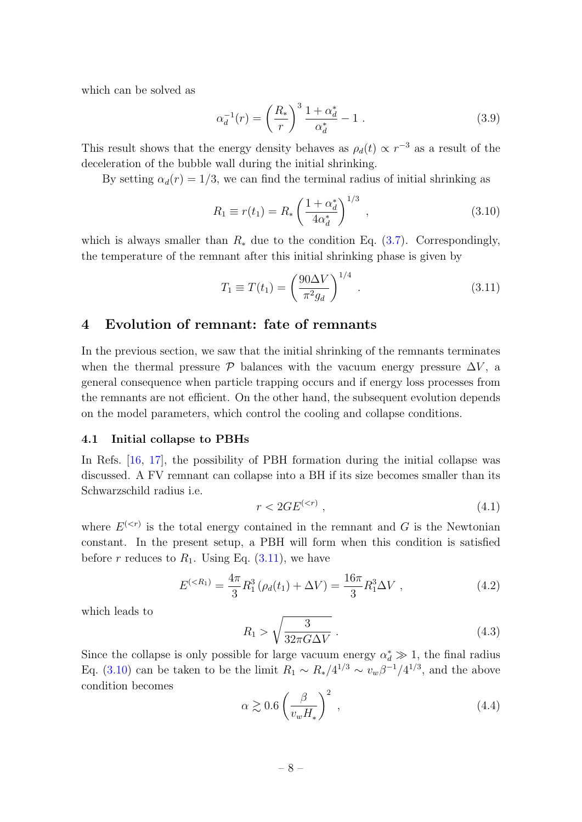which can be solved as

$$
\alpha_d^{-1}(r) = \left(\frac{R_*}{r}\right)^3 \frac{1 + \alpha_d^*}{\alpha_d^*} - 1 \tag{3.9}
$$

This result shows that the energy density behaves as  $\rho_d(t) \propto r^{-3}$  as a result of the deceleration of the bubble wall during the initial shrinking.

By setting  $\alpha_d(r) = 1/3$ , we can find the terminal radius of initial shrinking as

<span id="page-8-3"></span>
$$
R_1 \equiv r(t_1) = R_* \left(\frac{1 + \alpha_d^*}{4\alpha_d^*}\right)^{1/3}, \qquad (3.10)
$$

which is always smaller than  $R_*$  due to the condition Eq. [\(3.7\)](#page-7-1). Correspondingly, the temperature of the remnant after this initial shrinking phase is given by

<span id="page-8-2"></span>
$$
T_1 \equiv T(t_1) = \left(\frac{90\Delta V}{\pi^2 g_d}\right)^{1/4} . \tag{3.11}
$$

## <span id="page-8-0"></span>4 Evolution of remnant: fate of remnants

In the previous section, we saw that the initial shrinking of the remnants terminates when the thermal pressure  $\mathcal{P}$  balances with the vacuum energy pressure  $\Delta V$ , a general consequence when particle trapping occurs and if energy loss processes from the remnants are not efficient. On the other hand, the subsequent evolution depends on the model parameters, which control the cooling and collapse conditions.

#### <span id="page-8-1"></span>4.1 Initial collapse to PBHs

In Refs. [\[16,](#page-16-5) [17\]](#page-16-3), the possibility of PBH formation during the initial collapse was discussed. A FV remnant can collapse into a BH if its size becomes smaller than its Schwarzschild radius i.e.

$$
r < 2GE^{(
$$

where  $E^{( is the total energy contained in the remnant and G is the Newtonian$ constant. In the present setup, a PBH will form when this condition is satisfied before r reduces to  $R_1$ . Using Eq.  $(3.11)$ , we have

$$
E^{(
$$

which leads to

$$
R_1 > \sqrt{\frac{3}{32\pi G\Delta V}}\tag{4.3}
$$

Since the collapse is only possible for large vacuum energy  $\alpha_d^* \gg 1$ , the final radius Eq. [\(3.10\)](#page-8-3) can be taken to be the limit  $R_1 \sim R_*/4^{1/3} \sim v_w \beta^{-1}/4^{1/3}$ , and the above condition becomes

$$
\alpha \gtrsim 0.6 \left(\frac{\beta}{v_w H_*}\right)^2 \,, \tag{4.4}
$$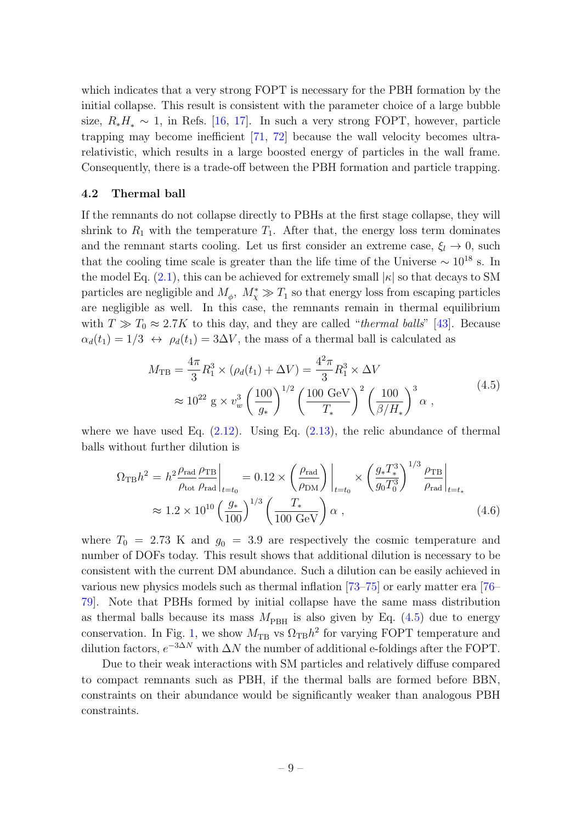which indicates that a very strong FOPT is necessary for the PBH formation by the initial collapse. This result is consistent with the parameter choice of a large bubble size,  $R_*H_* \sim 1$ , in Refs. [\[16,](#page-16-5) [17\]](#page-16-3). In such a very strong FOPT, however, particle trapping may become inefficient [\[71,](#page-20-5) [72\]](#page-20-6) because the wall velocity becomes ultrarelativistic, which results in a large boosted energy of particles in the wall frame. Consequently, there is a trade-off between the PBH formation and particle trapping.

#### <span id="page-9-0"></span>4.2 Thermal ball

If the remnants do not collapse directly to PBHs at the first stage collapse, they will shrink to  $R_1$  with the temperature  $T_1$ . After that, the energy loss term dominates and the remnant starts cooling. Let us first consider an extreme case,  $\xi_l \to 0$ , such that the cooling time scale is greater than the life time of the Universe  $\sim 10^{18}$  s. In the model Eq.  $(2.1)$ , this can be achieved for extremely small  $|\kappa|$  so that decays to SM particles are negligible and  $M_{\phi}$ ,  $M_{\chi}^{*} \gg T_{1}$  so that energy loss from escaping particles are negligible as well. In this case, the remnants remain in thermal equilibrium with  $T \gg T_0 \approx 2.7K$  to this day, and they are called "*thermal balls*" [\[43\]](#page-18-4). Because  $\alpha_d(t_1) = 1/3 \leftrightarrow \rho_d(t_1) = 3\Delta V$ , the mass of a thermal ball is calculated as

$$
M_{\text{TB}} = \frac{4\pi}{3} R_1^3 \times (\rho_d(t_1) + \Delta V) = \frac{4^2 \pi}{3} R_1^3 \times \Delta V
$$
  

$$
\approx 10^{22} \text{ g} \times v_w^3 \left(\frac{100}{g_*}\right)^{1/2} \left(\frac{100 \text{ GeV}}{T_*}\right)^2 \left(\frac{100}{\beta/H_*}\right)^3 \alpha , \qquad (4.5)
$$

<span id="page-9-1"></span>where we have used Eq.  $(2.12)$ . Using Eq.  $(2.13)$ , the relic abundance of thermal balls without further dilution is

$$
\Omega_{\rm TB} h^2 = h^2 \frac{\rho_{\rm rad}}{\rho_{\rm tot}} \frac{\rho_{\rm TB}}{\rho_{\rm rad}} \bigg|_{t=t_0} = 0.12 \times \left( \frac{\rho_{\rm rad}}{\rho_{\rm DM}} \right) \bigg|_{t=t_0} \times \left( \frac{g_* T_*^3}{g_0 T_0^3} \right)^{1/3} \frac{\rho_{\rm TB}}{\rho_{\rm rad}} \bigg|_{t=t_*} \n\approx 1.2 \times 10^{10} \left( \frac{g_*}{100} \right)^{1/3} \left( \frac{T_*}{100 \text{ GeV}} \right) \alpha ,
$$
\n(4.6)

where  $T_0 = 2.73$  K and  $g_0 = 3.9$  are respectively the cosmic temperature and number of DOFs today. This result shows that additional dilution is necessary to be consistent with the current DM abundance. Such a dilution can be easily achieved in various new physics models such as thermal inflation [\[73–](#page-20-7)[75\]](#page-20-8) or early matter era [\[76–](#page-20-9) [79\]](#page-20-10). Note that PBHs formed by initial collapse have the same mass distribution as thermal balls because its mass  $M_{\text{PBH}}$  is also given by Eq. [\(4.5\)](#page-9-1) due to energy conservation. In Fig. [1,](#page-10-1) we show  $M_{\text{TB}}$  vs  $\Omega_{\text{TB}}h^2$  for varying FOPT temperature and dilution factors,  $e^{-3\Delta N}$  with  $\Delta N$  the number of additional e-foldings after the FOPT.

Due to their weak interactions with SM particles and relatively diffuse compared to compact remnants such as PBH, if the thermal balls are formed before BBN, constraints on their abundance would be significantly weaker than analogous PBH constraints.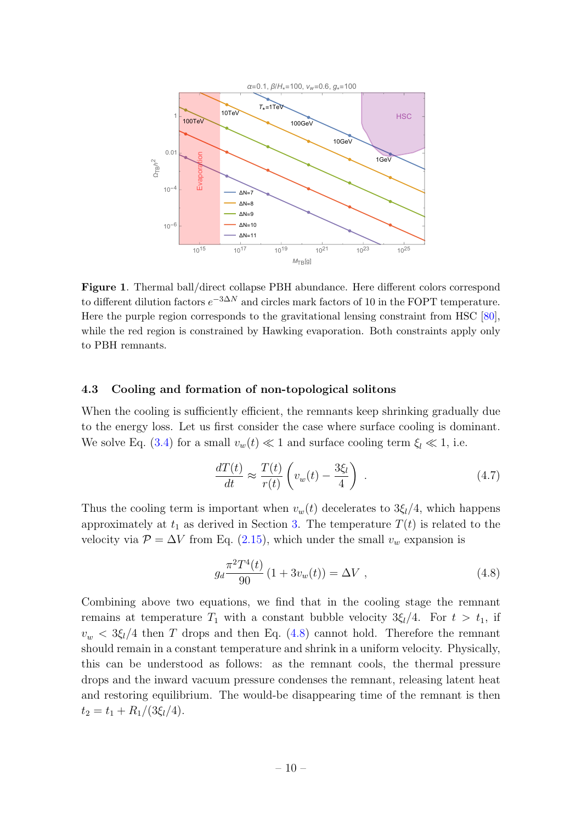

Figure 1. Thermal ball/direct collapse PBH abundance. Here different colors correspond to different dilution factors  $e^{-3\Delta N}$  and circles mark factors of 10 in the FOPT temperature. Here the purple region corresponds to the gravitational lensing constraint from HSC [\[80\]](#page-20-11), while the red region is constrained by Hawking evaporation. Both constraints apply only to PBH remnants.

#### <span id="page-10-0"></span>4.3 Cooling and formation of non-topological solitons

When the cooling is sufficiently efficient, the remnants keep shrinking gradually due to the energy loss. Let us first consider the case where surface cooling is dominant. We solve Eq. [\(3.4\)](#page-6-2) for a small  $v_w(t) \ll 1$  and surface cooling term  $\xi_l \ll 1$ , i.e.

<span id="page-10-1"></span>
$$
\frac{dT(t)}{dt} \approx \frac{T(t)}{r(t)} \left( v_w(t) - \frac{3\xi_l}{4} \right) . \tag{4.7}
$$

Thus the cooling term is important when  $v_w(t)$  decelerates to  $3\xi_l/4$ , which happens approximately at  $t_1$  as derived in Section [3.](#page-6-0) The temperature  $T(t)$  is related to the velocity via  $\mathcal{P} = \Delta V$  from Eq. [\(2.15\)](#page-5-2), which under the small  $v_w$  expansion is

<span id="page-10-2"></span>
$$
g_d \frac{\pi^2 T^4(t)}{90} \left( 1 + 3v_w(t) \right) = \Delta V \tag{4.8}
$$

Combining above two equations, we find that in the cooling stage the remnant remains at temperature  $T_1$  with a constant bubble velocity  $3\xi_l/4$ . For  $t > t_1$ , if  $v_w < 3\xi_l/4$  then T drops and then Eq. [\(4.8\)](#page-10-2) cannot hold. Therefore the remnant should remain in a constant temperature and shrink in a uniform velocity. Physically, this can be understood as follows: as the remnant cools, the thermal pressure drops and the inward vacuum pressure condenses the remnant, releasing latent heat and restoring equilibrium. The would-be disappearing time of the remnant is then  $t_2 = t_1 + R_1/(3\xi_l/4).$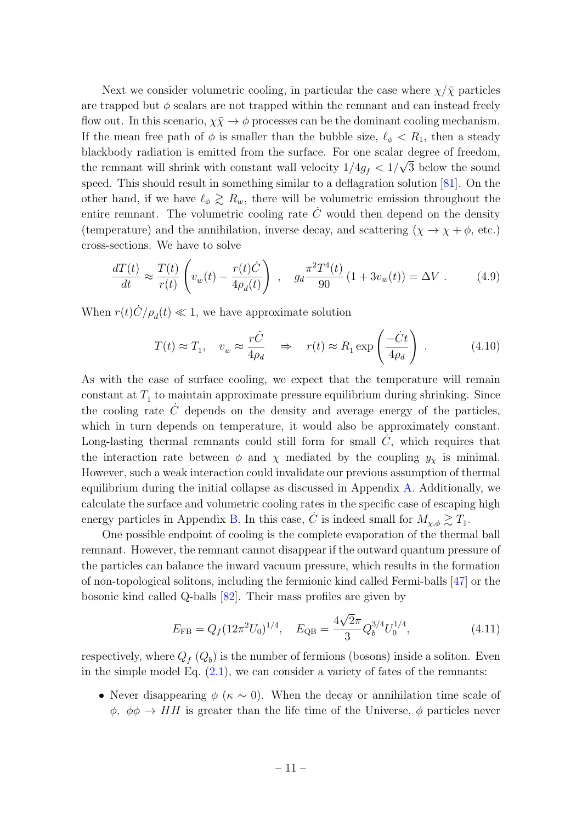Next we consider volumetric cooling, in particular the case where  $\chi/\bar{\chi}$  particles are trapped but  $\phi$  scalars are not trapped within the remnant and can instead freely flow out. In this scenario,  $\chi \bar{\chi} \to \phi$  processes can be the dominant cooling mechanism. If the mean free path of  $\phi$  is smaller than the bubble size,  $\ell_{\phi} < R_1$ , then a steady blackbody radiation is emitted from the surface. For one scalar degree of freedom, the remnant will shrink with constant wall velocity  $1/4g_f < 1/\sqrt{3}$  below the sound speed. This should result in something similar to a deflagration solution [\[81\]](#page-21-0). On the other hand, if we have  $\ell_{\phi} \gtrsim R_{w}$ , there will be volumetric emission throughout the entire remnant. The volumetric cooling rate  $C$  would then depend on the density (temperature) and the annihilation, inverse decay, and scattering  $(\chi \to \chi + \phi, \text{etc.})$ cross-sections. We have to solve

$$
\frac{dT(t)}{dt} \approx \frac{T(t)}{r(t)} \left( v_w(t) - \frac{r(t)\dot{C}}{4\rho_d(t)} \right) , \quad g_d \frac{\pi^2 T^4(t)}{90} \left( 1 + 3v_w(t) \right) = \Delta V . \tag{4.9}
$$

When  $r(t)\dot{C}/\rho_d(t) \ll 1$ , we have approximate solution

$$
T(t) \approx T_1, \quad v_w \approx \frac{r\dot{C}}{4\rho_d} \quad \Rightarrow \quad r(t) \approx R_1 \exp\left(\frac{-\dot{C}t}{4\rho_d}\right) \,. \tag{4.10}
$$

As with the case of surface cooling, we expect that the temperature will remain  $\alpha$  constant at  $T_1$  to maintain approximate pressure equilibrium during shrinking. Since the cooling rate  $C$  depends on the density and average energy of the particles, which in turn depends on temperature, it would also be approximately constant. Long-lasting thermal remnants could still form for small  $\dot{C}$ , which requires that the interaction rate between  $\phi$  and  $\chi$  mediated by the coupling  $y_{\chi}$  is minimal. However, such a weak interaction could invalidate our previous assumption of thermal equilibrium during the initial collapse as discussed in Appendix  $\Lambda$ . Additionally, we calculate the surface and volumetric cooling rates in the specific case of escaping high energy particles in Appendix [B.](#page-15-0) In this case,  $\dot{C}$  is indeed small for  $M_{\chi,\phi} \gtrsim T_1$ .

One possible endpoint of cooling is the complete evaporation of the thermal ball remnant. However, the remnant cannot disappear if the outward quantum pressure of the particles can balance the inward vacuum pressure, which results in the formation of non-topological solitons, including the fermionic kind called Fermi-balls [\[47\]](#page-18-3) or the bosonic kind called Q-balls [\[82\]](#page-21-1). Their mass profiles are given by

$$
E_{\rm FB} = Q_f (12\pi^2 U_0)^{1/4}, \quad E_{\rm QB} = \frac{4\sqrt{2}\pi}{3} Q_b^{3/4} U_0^{1/4}, \tag{4.11}
$$

respectively, where  $Q_f(Q_b)$  is the number of fermions (bosons) inside a soliton. Even in the simple model Eq.  $(2.1)$ , we can consider a variety of fates of the remnants:

• Never disappearing  $\phi$  ( $\kappa \sim 0$ ). When the decay or annihilation time scale of  $\phi$ ,  $\phi \phi \rightarrow HH$  is greater than the life time of the Universe,  $\phi$  particles never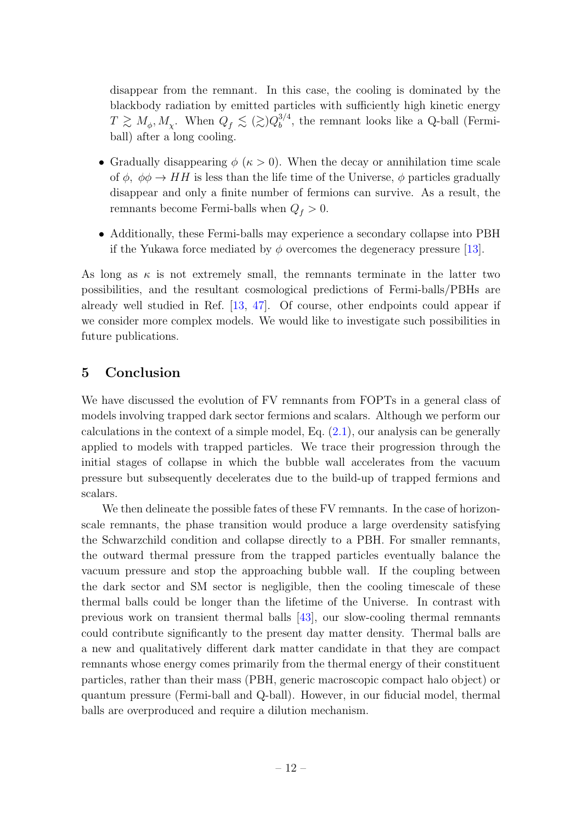disappear from the remnant. In this case, the cooling is dominated by the blackbody radiation by emitted particles with sufficiently high kinetic energy  $T \gtrsim M_{\phi}, M_{\chi}$ . When  $Q_f \lesssim (\gtrsim) Q_b^{3/4}$  $b^{3/4}$ , the remnant looks like a Q-ball (Fermiball) after a long cooling.

- Gradually disappearing  $\phi$  ( $\kappa > 0$ ). When the decay or annihilation time scale of  $\phi$ ,  $\phi \phi \rightarrow HH$  is less than the life time of the Universe,  $\phi$  particles gradually disappear and only a finite number of fermions can survive. As a result, the remnants become Fermi-balls when  $Q_f > 0$ .
- Additionally, these Fermi-balls may experience a secondary collapse into PBH if the Yukawa force mediated by  $\phi$  overcomes the degeneracy pressure [\[13\]](#page-16-4).

As long as  $\kappa$  is not extremely small, the remnants terminate in the latter two possibilities, and the resultant cosmological predictions of Fermi-balls/PBHs are already well studied in Ref. [\[13,](#page-16-4) [47\]](#page-18-3). Of course, other endpoints could appear if we consider more complex models. We would like to investigate such possibilities in future publications.

# <span id="page-12-0"></span>5 Conclusion

We have discussed the evolution of FV remnants from FOPTs in a general class of models involving trapped dark sector fermions and scalars. Although we perform our calculations in the context of a simple model, Eq.  $(2.1)$ , our analysis can be generally applied to models with trapped particles. We trace their progression through the initial stages of collapse in which the bubble wall accelerates from the vacuum pressure but subsequently decelerates due to the build-up of trapped fermions and scalars.

We then delineate the possible fates of these FV remnants. In the case of horizonscale remnants, the phase transition would produce a large overdensity satisfying the Schwarzchild condition and collapse directly to a PBH. For smaller remnants, the outward thermal pressure from the trapped particles eventually balance the vacuum pressure and stop the approaching bubble wall. If the coupling between the dark sector and SM sector is negligible, then the cooling timescale of these thermal balls could be longer than the lifetime of the Universe. In contrast with previous work on transient thermal balls [\[43\]](#page-18-4), our slow-cooling thermal remnants could contribute significantly to the present day matter density. Thermal balls are a new and qualitatively different dark matter candidate in that they are compact remnants whose energy comes primarily from the thermal energy of their constituent particles, rather than their mass (PBH, generic macroscopic compact halo object) or quantum pressure (Fermi-ball and Q-ball). However, in our fiducial model, thermal balls are overproduced and require a dilution mechanism.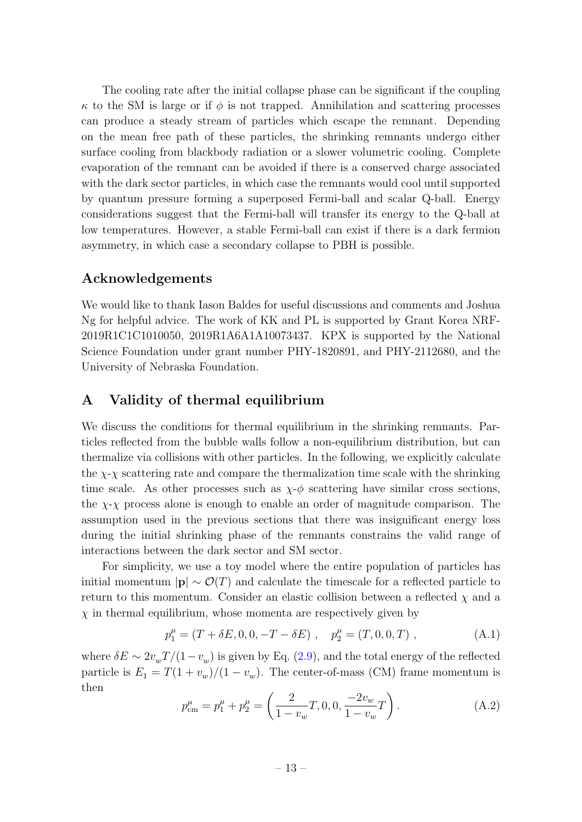The cooling rate after the initial collapse phase can be significant if the coupling  $\kappa$  to the SM is large or if  $\phi$  is not trapped. Annihilation and scattering processes can produce a steady stream of particles which escape the remnant. Depending on the mean free path of these particles, the shrinking remnants undergo either surface cooling from blackbody radiation or a slower volumetric cooling. Complete evaporation of the remnant can be avoided if there is a conserved charge associated with the dark sector particles, in which case the remnants would cool until supported by quantum pressure forming a superposed Fermi-ball and scalar Q-ball. Energy considerations suggest that the Fermi-ball will transfer its energy to the Q-ball at low temperatures. However, a stable Fermi-ball can exist if there is a dark fermion asymmetry, in which case a secondary collapse to PBH is possible.

## Acknowledgements

We would like to thank Iason Baldes for useful discussions and comments and Joshua Ng for helpful advice. The work of KK and PL is supported by Grant Korea NRF-2019R1C1C1010050, 2019R1A6A1A10073437. KPX is supported by the National Science Foundation under grant number PHY-1820891, and PHY-2112680, and the University of Nebraska Foundation.

## <span id="page-13-0"></span>A Validity of thermal equilibrium

We discuss the conditions for thermal equilibrium in the shrinking remnants. Particles reflected from the bubble walls follow a non-equilibrium distribution, but can thermalize via collisions with other particles. In the following, we explicitly calculate the  $\chi$ - $\chi$  scattering rate and compare the thermalization time scale with the shrinking time scale. As other processes such as  $\chi$ - $\phi$  scattering have similar cross sections, the  $\chi$ - $\chi$  process alone is enough to enable an order of magnitude comparison. The assumption used in the previous sections that there was insignificant energy loss during the initial shrinking phase of the remnants constrains the valid range of interactions between the dark sector and SM sector.

For simplicity, we use a toy model where the entire population of particles has initial momentum  $|\mathbf{p}| \sim \mathcal{O}(T)$  and calculate the timescale for a reflected particle to return to this momentum. Consider an elastic collision between a reflected  $\chi$  and a  $\chi$  in thermal equilibrium, whose momenta are respectively given by

$$
p_1^{\mu} = (T + \delta E, 0, 0, -T - \delta E), \quad p_2^{\mu} = (T, 0, 0, T), \quad (A.1)
$$

where  $\delta E \sim 2v_{w}T/(1-v_{w})$  is given by Eq. [\(2.9\)](#page-5-5), and the total energy of the reflected particle is  $E_1 = T(1 + v_w)/(1 - v_w)$ . The center-of-mass (CM) frame momentum is then

$$
p_{\text{cm}}^{\mu} = p_1^{\mu} + p_2^{\mu} = \left(\frac{2}{1 - v_w}T, 0, 0, \frac{-2v_w}{1 - v_w}T\right). \tag{A.2}
$$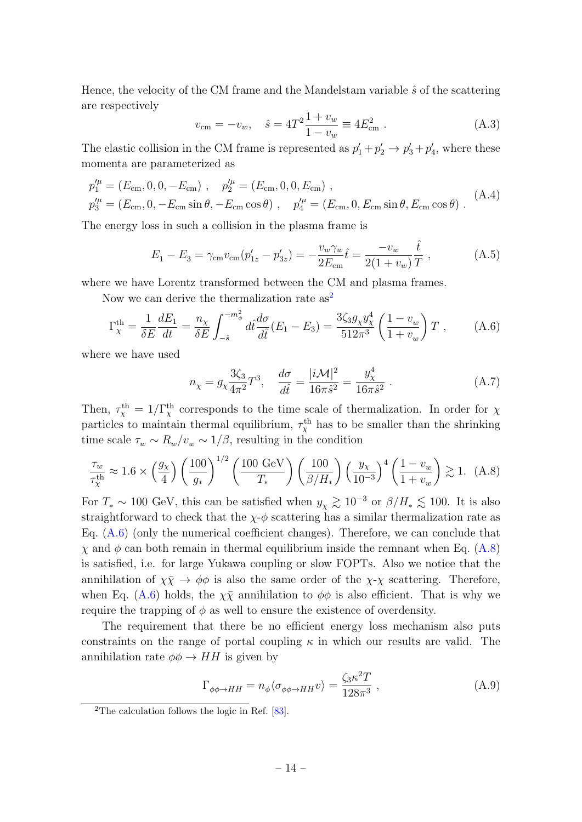Hence, the velocity of the CM frame and the Mandelstam variable  $\hat{s}$  of the scattering are respectively

$$
v_{\rm cm} = -v_w, \quad \hat{s} = 4T^2 \frac{1 + v_w}{1 - v_w} \equiv 4E_{\rm cm}^2 \ . \tag{A.3}
$$

The elastic collision in the CM frame is represented as  $p'_1 + p'_2 \rightarrow p'_3 + p'_4$ , where these momenta are parameterized as

$$
p_1^{\prime \mu} = (E_{\rm cm}, 0, 0, -E_{\rm cm}), \quad p_2^{\prime \mu} = (E_{\rm cm}, 0, 0, E_{\rm cm}),
$$
  
\n
$$
p_3^{\prime \mu} = (E_{\rm cm}, 0, -E_{\rm cm} \sin \theta, -E_{\rm cm} \cos \theta), \quad p_4^{\prime \mu} = (E_{\rm cm}, 0, E_{\rm cm} \sin \theta, E_{\rm cm} \cos \theta).
$$
 (A.4)

The energy loss in such a collision in the plasma frame is

$$
E_1 - E_3 = \gamma_{\rm cm} v_{\rm cm} (p'_{1z} - p'_{3z}) = -\frac{v_w \gamma_w}{2E_{\rm cm}} \hat{t} = \frac{-v_w}{2(1 + v_w)} \frac{\hat{t}}{T} , \qquad (A.5)
$$

where we have Lorentz transformed between the CM and plasma frames.

Now we can derive the thermalization rate as<sup>[2](#page-14-0)</sup>

<span id="page-14-1"></span>
$$
\Gamma_X^{\text{th}} = \frac{1}{\delta E} \frac{dE_1}{dt} = \frac{n_\chi}{\delta E} \int_{-\hat{s}}^{-m_\phi^2} d\hat{t} \frac{d\sigma}{d\hat{t}} (E_1 - E_3) = \frac{3\zeta_3 g_\chi y_\chi^4}{512\pi^3} \left(\frac{1 - v_w}{1 + v_w}\right) T \,, \tag{A.6}
$$

where we have used

$$
n_{\chi} = g_{\chi} \frac{3\zeta_3}{4\pi^2} T^3, \quad \frac{d\sigma}{d\hat{t}} = \frac{|i\mathcal{M}|^2}{16\pi \hat{s}^2} = \frac{y_{\chi}^4}{16\pi \hat{s}^2} \ . \tag{A.7}
$$

Then,  $\tau_{\chi}^{\text{th}} = 1/\Gamma_{\chi}^{\text{th}}$  corresponds to the time scale of thermalization. In order for  $\chi$ particles to maintain thermal equilibrium,  $\tau_{\chi}^{\text{th}}$  has to be smaller than the shrinking time scale  $\tau_w \sim R_w/v_w \sim 1/\beta$ , resulting in the condition

<span id="page-14-2"></span>
$$
\frac{\tau_w}{\tau_\chi^{\text{th}}} \approx 1.6 \times \left(\frac{g_\chi}{4}\right) \left(\frac{100}{g_*}\right)^{1/2} \left(\frac{100 \text{ GeV}}{T_*}\right) \left(\frac{100}{\beta/H_*}\right) \left(\frac{y_\chi}{10^{-3}}\right)^4 \left(\frac{1 - v_w}{1 + v_w}\right) \gtrsim 1. \tag{A.8}
$$

For  $T_* \sim 100$  GeV, this can be satisfied when  $y_\chi \gtrsim 10^{-3}$  or  $\beta/H_* \lesssim 100$ . It is also straightforward to check that the  $\chi$ - $\phi$  scattering has a similar thermalization rate as Eq.  $(A.6)$  (only the numerical coefficient changes). Therefore, we can conclude that  $\chi$  and  $\phi$  can both remain in thermal equilibrium inside the remnant when Eq. [\(A.8\)](#page-14-2) is satisfied, i.e. for large Yukawa coupling or slow FOPTs. Also we notice that the annihilation of  $\chi \bar{\chi} \to \phi \phi$  is also the same order of the  $\chi$ - $\chi$  scattering. Therefore, when Eq. [\(A.6\)](#page-14-1) holds, the  $\chi \bar{\chi}$  annihilation to  $\phi \phi$  is also efficient. That is why we require the trapping of  $\phi$  as well to ensure the existence of overdensity.

The requirement that there be no efficient energy loss mechanism also puts constraints on the range of portal coupling  $\kappa$  in which our results are valid. The annihilation rate  $\phi \phi \rightarrow HH$  is given by

$$
\Gamma_{\phi\phi \to HH} = n_{\phi} \langle \sigma_{\phi\phi \to HH} v \rangle = \frac{\zeta_3 \kappa^2 T}{128\pi^3} , \qquad (A.9)
$$

<span id="page-14-0"></span><sup>2</sup>The calculation follows the logic in Ref. [\[83\]](#page-21-2).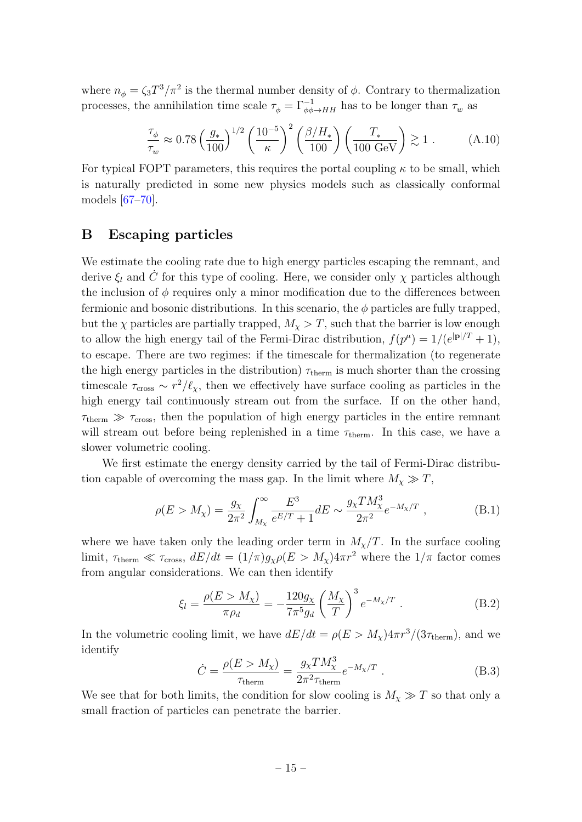where  $n_{\phi} = \zeta_3 T^3 / \pi^2$  is the thermal number density of  $\phi$ . Contrary to thermalization processes, the annihilation time scale  $\tau_{\phi} = \Gamma_{\phi\phi\to HH}^{-1}$  has to be longer than  $\tau_w$  as

$$
\frac{\tau_{\phi}}{\tau_{w}} \approx 0.78 \left(\frac{g_{*}}{100}\right)^{1/2} \left(\frac{10^{-5}}{\kappa}\right)^{2} \left(\frac{\beta/H_{*}}{100}\right) \left(\frac{T_{*}}{100 \text{ GeV}}\right) \gtrsim 1. \tag{A.10}
$$

For typical FOPT parameters, this requires the portal coupling  $\kappa$  to be small, which is naturally predicted in some new physics models such as classically conformal models [\[67–](#page-20-3)[70\]](#page-20-4).

## <span id="page-15-0"></span>B Escaping particles

We estimate the cooling rate due to high energy particles escaping the remnant, and derive  $\xi_l$  and  $\dot{C}$  for this type of cooling. Here, we consider only  $\chi$  particles although the inclusion of  $\phi$  requires only a minor modification due to the differences between fermionic and bosonic distributions. In this scenario, the  $\phi$  particles are fully trapped, but the  $\chi$  particles are partially trapped,  $M_{\chi} > T$ , such that the barrier is low enough to allow the high energy tail of the Fermi-Dirac distribution,  $f(p^{\mu}) = 1/(e^{|\mathbf{p}|/T} + 1)$ , to escape. There are two regimes: if the timescale for thermalization (to regenerate the high energy particles in the distribution)  $\tau_{\text{therm}}$  is much shorter than the crossing timescale  $\tau_{\rm cross} \sim r^2/\ell_{\chi}$ , then we effectively have surface cooling as particles in the high energy tail continuously stream out from the surface. If on the other hand,  $\tau_{\text{therm}} \gg \tau_{\text{cross}}$ , then the population of high energy particles in the entire remnant will stream out before being replenished in a time  $\tau_{\text{therm}}$ . In this case, we have a slower volumetric cooling.

We first estimate the energy density carried by the tail of Fermi-Dirac distribution capable of overcoming the mass gap. In the limit where  $M_{\chi} \gg T$ ,

$$
\rho(E > M_{\chi}) = \frac{g_{\chi}}{2\pi^2} \int_{M_{\chi}}^{\infty} \frac{E^3}{e^{E/T} + 1} dE \sim \frac{g_{\chi} T M_{\chi}^3}{2\pi^2} e^{-M_{\chi}/T} , \qquad (B.1)
$$

where we have taken only the leading order term in  $M_{\chi}/T$ . In the surface cooling limit,  $\tau_{\text{therm}} \ll \tau_{\text{cross}}$ ,  $dE/dt = (1/\pi)g_{\chi}\rho(E > M_{\chi})4\pi r^2$  where the  $1/\pi$  factor comes from angular considerations. We can then identify

$$
\xi_l = \frac{\rho(E > M_\chi)}{\pi \rho_d} = -\frac{120g_\chi}{7\pi^5 g_d} \left(\frac{M_\chi}{T}\right)^3 e^{-M_\chi/T} . \tag{B.2}
$$

In the volumetric cooling limit, we have  $dE/dt = \rho(E > M_{\chi})4\pi r^3/(3\tau_{\text{therm}})$ , and we identify

$$
\dot{C} = \frac{\rho(E > M_{\chi})}{\tau_{\text{therm}}} = \frac{g_{\chi} T M_{\chi}^3}{2\pi^2 \tau_{\text{therm}}} e^{-M_{\chi}/T} . \tag{B.3}
$$

We see that for both limits, the condition for slow cooling is  $M_{\chi} \gg T$  so that only a small fraction of particles can penetrate the barrier.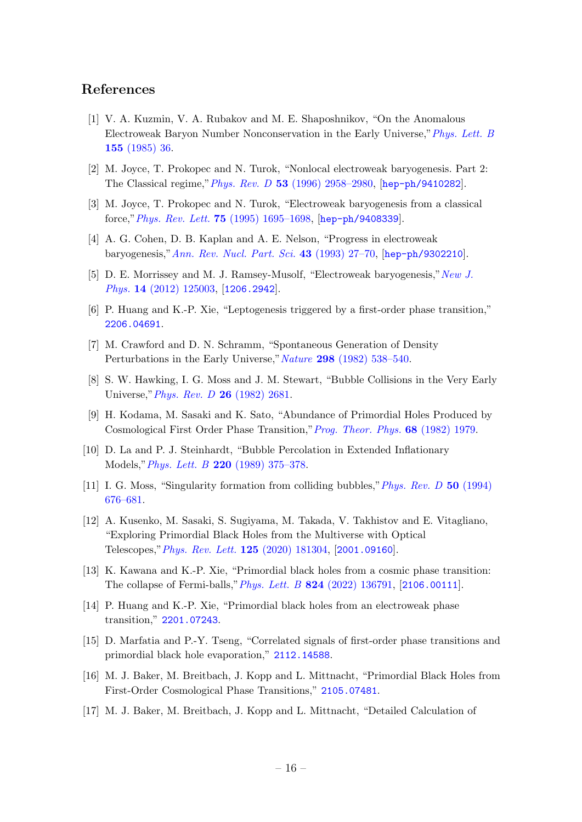## References

- <span id="page-16-0"></span>[1] V. A. Kuzmin, V. A. Rubakov and M. E. Shaposhnikov, "On the Anomalous Electroweak Baryon Number Nonconservation in the Early Universe,"[Phys. Lett. B](http://dx.doi.org/10.1016/0370-2693(85)91028-7) 155 [\(1985\) 36.](http://dx.doi.org/10.1016/0370-2693(85)91028-7)
- [2] M. Joyce, T. Prokopec and N. Turok, "Nonlocal electroweak baryogenesis. Part 2: The Classical regime,"Phys. Rev. D 53 [\(1996\) 2958–2980,](http://dx.doi.org/10.1103/PhysRevD.53.2958) [[hep-ph/9410282](https://arxiv.org/abs/hep-ph/9410282)].
- [3] M. Joyce, T. Prokopec and N. Turok, "Electroweak baryogenesis from a classical force,"Phys. Rev. Lett. 75 [\(1995\) 1695–1698,](http://dx.doi.org/10.1103/PhysRevLett.75.1695) [[hep-ph/9408339](https://arxiv.org/abs/hep-ph/9408339)].
- [4] A. G. Cohen, D. B. Kaplan and A. E. Nelson, "Progress in electroweak baryogenesis,"[Ann. Rev. Nucl. Part. Sci.](http://dx.doi.org/10.1146/annurev.ns.43.120193.000331) 43 (1993) 27–70, [[hep-ph/9302210](https://arxiv.org/abs/hep-ph/9302210)].
- [5] D. E. Morrissey and M. J. Ramsey-Musolf, "Electroweak baryogenesis," [New J.](http://dx.doi.org/10.1088/1367-2630/14/12/125003) Phys. 14 [\(2012\) 125003,](http://dx.doi.org/10.1088/1367-2630/14/12/125003) [[1206.2942](https://arxiv.org/abs/1206.2942)].
- <span id="page-16-1"></span>[6] P. Huang and K.-P. Xie, "Leptogenesis triggered by a first-order phase transition," [2206.04691](https://arxiv.org/abs/2206.04691).
- <span id="page-16-2"></span>[7] M. Crawford and D. N. Schramm, "Spontaneous Generation of Density Perturbations in the Early Universe," Nature 298 [\(1982\) 538–540.](http://dx.doi.org/10.1038/298538a0)
- [8] S. W. Hawking, I. G. Moss and J. M. Stewart, "Bubble Collisions in the Very Early Universe," *[Phys. Rev. D](http://dx.doi.org/10.1103/PhysRevD.26.2681)* **26** (1982) 2681.
- [9] H. Kodama, M. Sasaki and K. Sato, "Abundance of Primordial Holes Produced by Cosmological First Order Phase Transition,"[Prog. Theor. Phys.](http://dx.doi.org/10.1143/PTP.68.1979) 68 (1982) 1979.
- [10] D. La and P. J. Steinhardt, "Bubble Percolation in Extended Inflationary Models,"Phys. Lett. B 220 [\(1989\) 375–378.](http://dx.doi.org/10.1016/0370-2693(89)90890-3)
- [11] I. G. Moss, "Singularity formation from colliding bubbles," *[Phys. Rev. D](http://dx.doi.org/10.1103/PhysRevD.50.676)* 50 (1994) [676–681.](http://dx.doi.org/10.1103/PhysRevD.50.676)
- [12] A. Kusenko, M. Sasaki, S. Sugiyama, M. Takada, V. Takhistov and E. Vitagliano, "Exploring Primordial Black Holes from the Multiverse with Optical Telescopes,"[Phys. Rev. Lett.](http://dx.doi.org/10.1103/PhysRevLett.125.181304) 125 (2020) 181304, [[2001.09160](https://arxiv.org/abs/2001.09160)].
- <span id="page-16-4"></span>[13] K. Kawana and K.-P. Xie, "Primordial black holes from a cosmic phase transition: The collapse of Fermi-balls,"Phys. Lett. B 824 [\(2022\) 136791,](http://dx.doi.org/10.1016/j.physletb.2021.136791) [[2106.00111](https://arxiv.org/abs/2106.00111)].
- [14] P. Huang and K.-P. Xie, "Primordial black holes from an electroweak phase transition," [2201.07243](https://arxiv.org/abs/2201.07243).
- <span id="page-16-6"></span>[15] D. Marfatia and P.-Y. Tseng, "Correlated signals of first-order phase transitions and primordial black hole evaporation," [2112.14588](https://arxiv.org/abs/2112.14588).
- <span id="page-16-5"></span>[16] M. J. Baker, M. Breitbach, J. Kopp and L. Mittnacht, "Primordial Black Holes from First-Order Cosmological Phase Transitions," [2105.07481](https://arxiv.org/abs/2105.07481).
- <span id="page-16-3"></span>[17] M. J. Baker, M. Breitbach, J. Kopp and L. Mittnacht, "Detailed Calculation of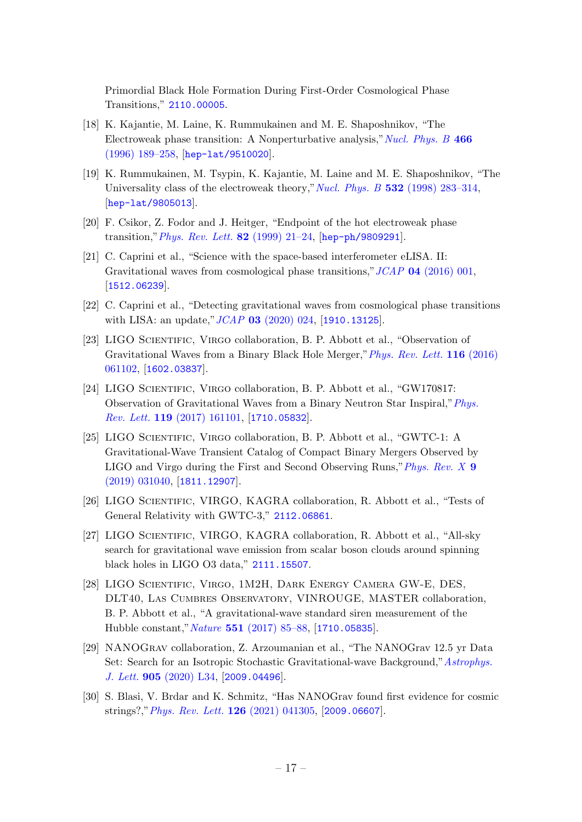Primordial Black Hole Formation During First-Order Cosmological Phase Transitions," [2110.00005](https://arxiv.org/abs/2110.00005).

- <span id="page-17-0"></span>[18] K. Kajantie, M. Laine, K. Rummukainen and M. E. Shaposhnikov, "The Electroweak phase transition: A Nonperturbative analysis," [Nucl. Phys. B](http://dx.doi.org/10.1016/0550-3213(96)00052-1) 466 [\(1996\) 189–258,](http://dx.doi.org/10.1016/0550-3213(96)00052-1) [[hep-lat/9510020](https://arxiv.org/abs/hep-lat/9510020)].
- [19] K. Rummukainen, M. Tsypin, K. Kajantie, M. Laine and M. E. Shaposhnikov, "The Universality class of the electroweak theory," Nucl. Phys. B  $532$  [\(1998\) 283–314,](http://dx.doi.org/10.1016/S0550-3213(98)00494-5) [[hep-lat/9805013](https://arxiv.org/abs/hep-lat/9805013)].
- <span id="page-17-1"></span>[20] F. Csikor, Z. Fodor and J. Heitger, "Endpoint of the hot electroweak phase transition," *[Phys. Rev. Lett.](http://dx.doi.org/10.1103/PhysRevLett.82.21)* **82** (1999) 21–24,  $[hep-ph/9809291]$  $[hep-ph/9809291]$  $[hep-ph/9809291]$ .
- <span id="page-17-2"></span>[21] C. Caprini et al., "Science with the space-based interferometer eLISA. II: Gravitational waves from cosmological phase transitions," JCAP 04 [\(2016\) 001,](http://dx.doi.org/10.1088/1475-7516/2016/04/001) [[1512.06239](https://arxiv.org/abs/1512.06239)].
- <span id="page-17-3"></span>[22] C. Caprini et al., "Detecting gravitational waves from cosmological phase transitions with LISA: an update," JCAP **03** [\(2020\) 024,](http://dx.doi.org/10.1088/1475-7516/2020/03/024) [[1910.13125](https://arxiv.org/abs/1910.13125)].
- <span id="page-17-4"></span>[23] LIGO Scientific, Virgo collaboration, B. P. Abbott et al., "Observation of Gravitational Waves from a Binary Black Hole Merger,"[Phys. Rev. Lett.](http://dx.doi.org/10.1103/PhysRevLett.116.061102) 116 (2016) [061102,](http://dx.doi.org/10.1103/PhysRevLett.116.061102) [[1602.03837](https://arxiv.org/abs/1602.03837)].
- [24] LIGO Scientific, Virgo collaboration, B. P. Abbott et al., "GW170817: Observation of Gravitational Waves from a Binary Neutron Star Inspiral,"[Phys.](http://dx.doi.org/10.1103/PhysRevLett.119.161101) Rev. Lett. 119 [\(2017\) 161101,](http://dx.doi.org/10.1103/PhysRevLett.119.161101) [[1710.05832](https://arxiv.org/abs/1710.05832)].
- <span id="page-17-5"></span>[25] LIGO Scientific, Virgo collaboration, B. P. Abbott et al., "GWTC-1: A Gravitational-Wave Transient Catalog of Compact Binary Mergers Observed by LIGO and Virgo during the First and Second Observing Runs," [Phys. Rev. X](http://dx.doi.org/10.1103/PhysRevX.9.031040) 9 [\(2019\) 031040,](http://dx.doi.org/10.1103/PhysRevX.9.031040) [[1811.12907](https://arxiv.org/abs/1811.12907)].
- <span id="page-17-6"></span>[26] LIGO Scientific, VIRGO, KAGRA collaboration, R. Abbott et al., "Tests of General Relativity with GWTC-3," [2112.06861](https://arxiv.org/abs/2112.06861).
- [27] LIGO SCIENTIFIC, VIRGO, KAGRA collaboration, R. Abbott et al., "All-sky" search for gravitational wave emission from scalar boson clouds around spinning black holes in LIGO O3 data," [2111.15507](https://arxiv.org/abs/2111.15507).
- [28] LIGO Scientific, Virgo, 1M2H, Dark Energy Camera GW-E, DES, DLT40, Las Cumbres Observatory, VINROUGE, MASTER collaboration, B. P. Abbott et al., "A gravitational-wave standard siren measurement of the Hubble constant,"Nature 551 [\(2017\) 85–88,](http://dx.doi.org/10.1038/nature24471) [[1710.05835](https://arxiv.org/abs/1710.05835)].
- [29] NANOGrav collaboration, Z. Arzoumanian et al., "The NANOGrav 12.5 yr Data Set: Search for an Isotropic Stochastic Gravitational-wave Background,"[Astrophys.](http://dx.doi.org/10.3847/2041-8213/abd401) J. Lett. 905 [\(2020\) L34,](http://dx.doi.org/10.3847/2041-8213/abd401) [[2009.04496](https://arxiv.org/abs/2009.04496)].
- [30] S. Blasi, V. Brdar and K. Schmitz, "Has NANOGrav found first evidence for cosmic strings?,"[Phys. Rev. Lett.](http://dx.doi.org/10.1103/PhysRevLett.126.041305) 126 (2021) 041305, [[2009.06607](https://arxiv.org/abs/2009.06607)].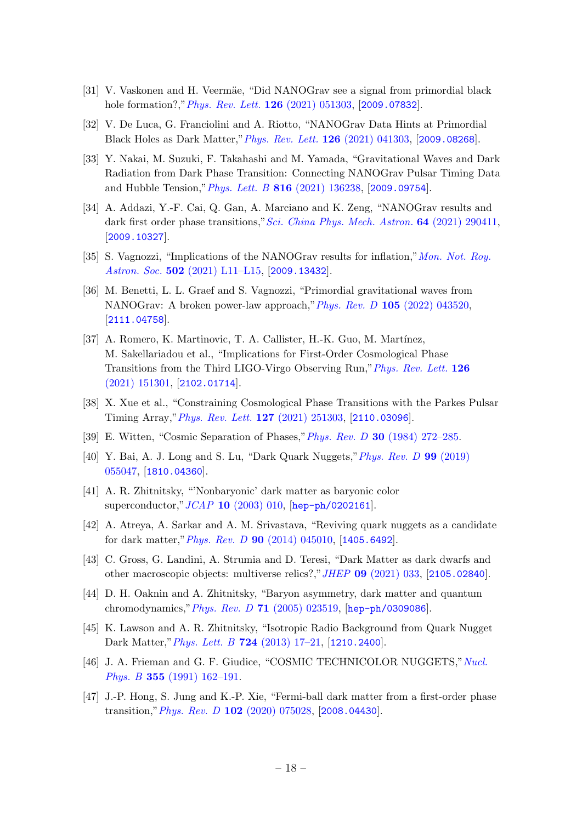- [31] V. Vaskonen and H. Veermäe, "Did NANOGrav see a signal from primordial black hole formation?," *[Phys. Rev. Lett.](http://dx.doi.org/10.1103/PhysRevLett.126.051303)* **126** (2021) 051303, [[2009.07832](https://arxiv.org/abs/2009.07832)].
- [32] V. De Luca, G. Franciolini and A. Riotto, "NANOGrav Data Hints at Primordial Black Holes as Dark Matter,"[Phys. Rev. Lett.](http://dx.doi.org/10.1103/PhysRevLett.126.041303) 126 (2021) 041303, [[2009.08268](https://arxiv.org/abs/2009.08268)].
- [33] Y. Nakai, M. Suzuki, F. Takahashi and M. Yamada, "Gravitational Waves and Dark Radiation from Dark Phase Transition: Connecting NANOGrav Pulsar Timing Data and Hubble Tension,"Phys. Lett. B 816 [\(2021\) 136238,](http://dx.doi.org/10.1016/j.physletb.2021.136238) [[2009.09754](https://arxiv.org/abs/2009.09754)].
- [34] A. Addazi, Y.-F. Cai, Q. Gan, A. Marciano and K. Zeng, "NANOGrav results and dark first order phase transitions," [Sci. China Phys. Mech. Astron.](http://dx.doi.org/10.1007/s11433-021-1724-6) **64** (2021) 290411, [[2009.10327](https://arxiv.org/abs/2009.10327)].
- [35] S. Vagnozzi, "Implications of the NANOGrav results for inflation,"[Mon. Not. Roy.](http://dx.doi.org/10.1093/mnrasl/slaa203) Astron. Soc. 502 [\(2021\) L11–L15,](http://dx.doi.org/10.1093/mnrasl/slaa203) [[2009.13432](https://arxiv.org/abs/2009.13432)].
- [36] M. Benetti, L. L. Graef and S. Vagnozzi, "Primordial gravitational waves from NANOGrav: A broken power-law approach,"Phys. Rev. D 105 [\(2022\) 043520,](http://dx.doi.org/10.1103/PhysRevD.105.043520) [[2111.04758](https://arxiv.org/abs/2111.04758)].
- [37] A. Romero, K. Martinovic, T. A. Callister, H.-K. Guo, M. Martínez, M. Sakellariadou et al., "Implications for First-Order Cosmological Phase Transitions from the Third LIGO-Virgo Observing Run,"[Phys. Rev. Lett.](http://dx.doi.org/10.1103/PhysRevLett.126.151301) 126 [\(2021\) 151301,](http://dx.doi.org/10.1103/PhysRevLett.126.151301) [[2102.01714](https://arxiv.org/abs/2102.01714)].
- <span id="page-18-0"></span>[38] X. Xue et al., "Constraining Cosmological Phase Transitions with the Parkes Pulsar Timing Array,"[Phys. Rev. Lett.](http://dx.doi.org/10.1103/PhysRevLett.127.251303) 127 (2021) 251303, [[2110.03096](https://arxiv.org/abs/2110.03096)].
- <span id="page-18-1"></span>[39] E. Witten, "Cosmic Separation of Phases,"Phys. Rev. D 30 [\(1984\) 272–285.](http://dx.doi.org/10.1103/PhysRevD.30.272)
- [40] Y. Bai, A. J. Long and S. Lu, "Dark Quark Nuggets,"[Phys. Rev. D](http://dx.doi.org/10.1103/PhysRevD.99.055047) 99 (2019) [055047,](http://dx.doi.org/10.1103/PhysRevD.99.055047) [[1810.04360](https://arxiv.org/abs/1810.04360)].
- [41] A. R. Zhitnitsky, "'Nonbaryonic' dark matter as baryonic color superconductor,"JCAP 10 [\(2003\) 010,](http://dx.doi.org/10.1088/1475-7516/2003/10/010) [[hep-ph/0202161](https://arxiv.org/abs/hep-ph/0202161)].
- [42] A. Atreya, A. Sarkar and A. M. Srivastava, "Reviving quark nuggets as a candidate for dark matter,"Phys. Rev. D 90 [\(2014\) 045010,](http://dx.doi.org/10.1103/PhysRevD.90.045010) [[1405.6492](https://arxiv.org/abs/1405.6492)].
- <span id="page-18-4"></span>[43] C. Gross, G. Landini, A. Strumia and D. Teresi, "Dark Matter as dark dwarfs and other macroscopic objects: multiverse relics?,"JHEP 09 [\(2021\) 033,](http://dx.doi.org/10.1007/JHEP09(2021)033) [[2105.02840](https://arxiv.org/abs/2105.02840)].
- [44] D. H. Oaknin and A. Zhitnitsky, "Baryon asymmetry, dark matter and quantum chromodynamics,"Phys. Rev. D 71 [\(2005\) 023519,](http://dx.doi.org/10.1103/PhysRevD.71.023519) [[hep-ph/0309086](https://arxiv.org/abs/hep-ph/0309086)].
- [45] K. Lawson and A. R. Zhitnitsky, "Isotropic Radio Background from Quark Nugget Dark Matter,"[Phys. Lett. B](http://dx.doi.org/10.1016/j.physletb.2013.05.070) 724 (2013) 17–21, [[1210.2400](https://arxiv.org/abs/1210.2400)].
- <span id="page-18-2"></span>[46] J. A. Frieman and G. F. Giudice, "COSMIC TECHNICOLOR NUGGETS," [Nucl.](http://dx.doi.org/10.1016/0550-3213(91)90308-K) Phys. B 355 [\(1991\) 162–191.](http://dx.doi.org/10.1016/0550-3213(91)90308-K)
- <span id="page-18-3"></span>[47] J.-P. Hong, S. Jung and K.-P. Xie, "Fermi-ball dark matter from a first-order phase transition,"Phys. Rev. D 102 [\(2020\) 075028,](http://dx.doi.org/10.1103/PhysRevD.102.075028) [[2008.04430](https://arxiv.org/abs/2008.04430)].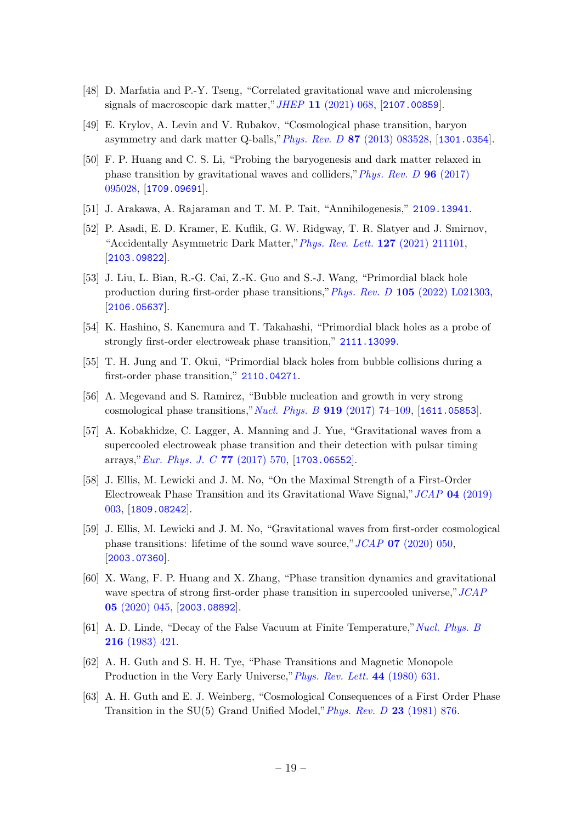- <span id="page-19-0"></span>[48] D. Marfatia and P.-Y. Tseng, "Correlated gravitational wave and microlensing signals of macroscopic dark matter,"JHEP 11 [\(2021\) 068,](http://dx.doi.org/10.1007/JHEP11(2021)068) [[2107.00859](https://arxiv.org/abs/2107.00859)].
- <span id="page-19-1"></span>[49] E. Krylov, A. Levin and V. Rubakov, "Cosmological phase transition, baryon asymmetry and dark matter Q-balls,"Phys. Rev. D 87 [\(2013\) 083528,](http://dx.doi.org/10.1103/PhysRevD.87.083528) [[1301.0354](https://arxiv.org/abs/1301.0354)].
- <span id="page-19-2"></span>[50] F. P. Huang and C. S. Li, "Probing the baryogenesis and dark matter relaxed in phase transition by gravitational waves and colliders,"[Phys. Rev. D](http://dx.doi.org/10.1103/PhysRevD.96.095028) 96 (2017) [095028,](http://dx.doi.org/10.1103/PhysRevD.96.095028) [[1709.09691](https://arxiv.org/abs/1709.09691)].
- <span id="page-19-3"></span>[51] J. Arakawa, A. Rajaraman and T. M. P. Tait, "Annihilogenesis," [2109.13941](https://arxiv.org/abs/2109.13941).
- <span id="page-19-4"></span>[52] P. Asadi, E. D. Kramer, E. Kuflik, G. W. Ridgway, T. R. Slatyer and J. Smirnov, "Accidentally Asymmetric Dark Matter,"[Phys. Rev. Lett.](http://dx.doi.org/10.1103/PhysRevLett.127.211101) 127 (2021) 211101, [[2103.09822](https://arxiv.org/abs/2103.09822)].
- <span id="page-19-5"></span>[53] J. Liu, L. Bian, R.-G. Cai, Z.-K. Guo and S.-J. Wang, "Primordial black hole production during first-order phase transitions,"Phys. Rev. D 105 [\(2022\) L021303,](http://dx.doi.org/10.1103/PhysRevD.105.L021303) [[2106.05637](https://arxiv.org/abs/2106.05637)].
- [54] K. Hashino, S. Kanemura and T. Takahashi, "Primordial black holes as a probe of strongly first-order electroweak phase transition," [2111.13099](https://arxiv.org/abs/2111.13099).
- <span id="page-19-6"></span>[55] T. H. Jung and T. Okui, "Primordial black holes from bubble collisions during a first-order phase transition," [2110.04271](https://arxiv.org/abs/2110.04271).
- <span id="page-19-7"></span>[56] A. Megevand and S. Ramirez, "Bubble nucleation and growth in very strong cosmological phase transitions," Nucl. Phys. B  $919$  (2017) 74-109, [[1611.05853](https://arxiv.org/abs/1611.05853)].
- [57] A. Kobakhidze, C. Lagger, A. Manning and J. Yue, "Gravitational waves from a supercooled electroweak phase transition and their detection with pulsar timing arrays," [Eur. Phys. J. C](http://dx.doi.org/10.1140/epjc/s10052-017-5132-y) 77 (2017) 570, [[1703.06552](https://arxiv.org/abs/1703.06552)].
- <span id="page-19-12"></span>[58] J. Ellis, M. Lewicki and J. M. No, "On the Maximal Strength of a First-Order Electroweak Phase Transition and its Gravitational Wave Signal,"JCAP 04 [\(2019\)](http://dx.doi.org/10.1088/1475-7516/2019/04/003) [003,](http://dx.doi.org/10.1088/1475-7516/2019/04/003) [[1809.08242](https://arxiv.org/abs/1809.08242)].
- [59] J. Ellis, M. Lewicki and J. M. No, "Gravitational waves from first-order cosmological phase transitions: lifetime of the sound wave source,"  $JCAP$  07 [\(2020\) 050,](http://dx.doi.org/10.1088/1475-7516/2020/07/050) [[2003.07360](https://arxiv.org/abs/2003.07360)].
- <span id="page-19-8"></span>[60] X. Wang, F. P. Huang and X. Zhang, "Phase transition dynamics and gravitational wave spectra of strong first-order phase transition in supercooled universe," [JCAP](http://dx.doi.org/10.1088/1475-7516/2020/05/045) 05 [\(2020\) 045,](http://dx.doi.org/10.1088/1475-7516/2020/05/045) [[2003.08892](https://arxiv.org/abs/2003.08892)].
- <span id="page-19-9"></span>[61] A. D. Linde, "Decay of the False Vacuum at Finite Temperature,"[Nucl. Phys. B](http://dx.doi.org/10.1016/0550-3213(83)90072-X) 216 [\(1983\) 421.](http://dx.doi.org/10.1016/0550-3213(83)90072-X)
- <span id="page-19-10"></span>[62] A. H. Guth and S. H. H. Tye, "Phase Transitions and Magnetic Monopole Production in the Very Early Universe," *[Phys. Rev. Lett.](http://dx.doi.org/10.1103/PhysRevLett.44.631)* 44 (1980) 631.
- <span id="page-19-11"></span>[63] A. H. Guth and E. J. Weinberg, "Cosmological Consequences of a First Order Phase Transition in the SU(5) Grand Unified Model,"[Phys. Rev. D](http://dx.doi.org/10.1103/PhysRevD.23.876) 23 (1981) 876.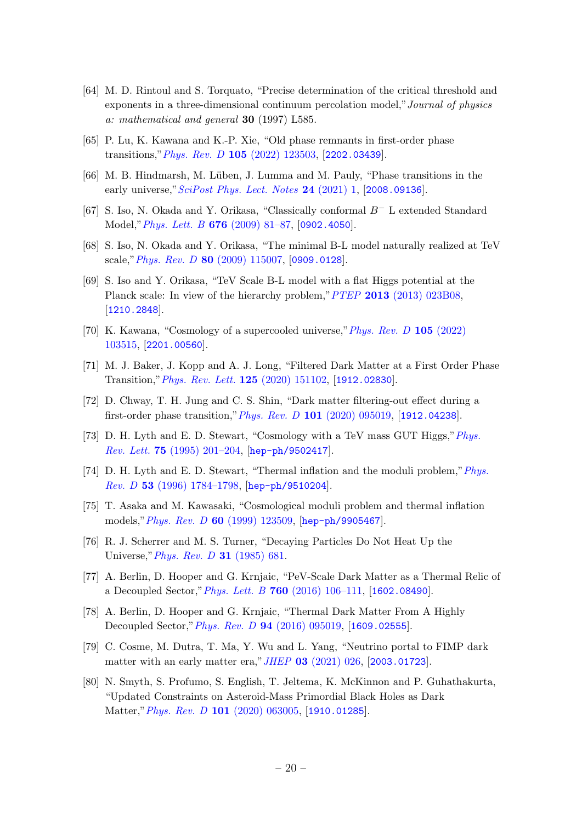- <span id="page-20-0"></span>[64] M. D. Rintoul and S. Torquato, "Precise determination of the critical threshold and exponents in a three-dimensional continuum percolation model,"Journal of physics a: mathematical and general 30 (1997) L585.
- <span id="page-20-1"></span>[65] P. Lu, K. Kawana and K.-P. Xie, "Old phase remnants in first-order phase transitions,"Phys. Rev. D 105 [\(2022\) 123503,](http://dx.doi.org/10.1103/PhysRevD.105.123503) [[2202.03439](https://arxiv.org/abs/2202.03439)].
- <span id="page-20-2"></span>[66] M. B. Hindmarsh, M. Lüben, J. Lumma and M. Pauly, "Phase transitions in the early universe," [SciPost Phys. Lect. Notes](http://dx.doi.org/10.21468/SciPostPhysLectNotes.24) 24 (2021) 1, [[2008.09136](https://arxiv.org/abs/2008.09136)].
- <span id="page-20-3"></span>[67] S. Iso, N. Okada and Y. Orikasa, "Classically conformal B<sup>−</sup> L extended Standard Model,"[Phys. Lett. B](http://dx.doi.org/10.1016/j.physletb.2009.04.046) 676 (2009) 81–87, [[0902.4050](https://arxiv.org/abs/0902.4050)].
- [68] S. Iso, N. Okada and Y. Orikasa, "The minimal B-L model naturally realized at TeV scale,"Phys. Rev. D 80 [\(2009\) 115007,](http://dx.doi.org/10.1103/PhysRevD.80.115007) [[0909.0128](https://arxiv.org/abs/0909.0128)].
- [69] S. Iso and Y. Orikasa, "TeV Scale B-L model with a flat Higgs potential at the Planck scale: In view of the hierarchy problem," PTEP 2013 [\(2013\) 023B08,](http://dx.doi.org/10.1093/ptep/pts099) [[1210.2848](https://arxiv.org/abs/1210.2848)].
- <span id="page-20-4"></span>[70] K. Kawana, "Cosmology of a supercooled universe,"[Phys. Rev. D](http://dx.doi.org/10.1103/PhysRevD.105.103515) 105 (2022) [103515,](http://dx.doi.org/10.1103/PhysRevD.105.103515) [[2201.00560](https://arxiv.org/abs/2201.00560)].
- <span id="page-20-5"></span>[71] M. J. Baker, J. Kopp and A. J. Long, "Filtered Dark Matter at a First Order Phase Transition,"[Phys. Rev. Lett.](http://dx.doi.org/10.1103/PhysRevLett.125.151102) 125 (2020) 151102, [[1912.02830](https://arxiv.org/abs/1912.02830)].
- <span id="page-20-6"></span>[72] D. Chway, T. H. Jung and C. S. Shin, "Dark matter filtering-out effect during a first-order phase transition,"Phys. Rev. D 101 [\(2020\) 095019,](http://dx.doi.org/10.1103/PhysRevD.101.095019) [[1912.04238](https://arxiv.org/abs/1912.04238)].
- <span id="page-20-7"></span>[73] D. H. Lyth and E. D. Stewart, "Cosmology with a TeV mass GUT Higgs,"[Phys.](http://dx.doi.org/10.1103/PhysRevLett.75.201) Rev. Lett. 75 [\(1995\) 201–204,](http://dx.doi.org/10.1103/PhysRevLett.75.201) [[hep-ph/9502417](https://arxiv.org/abs/hep-ph/9502417)].
- [74] D. H. Lyth and E. D. Stewart, "Thermal inflation and the moduli problem,"[Phys.](http://dx.doi.org/10.1103/PhysRevD.53.1784) Rev. D 53 [\(1996\) 1784–1798,](http://dx.doi.org/10.1103/PhysRevD.53.1784) [[hep-ph/9510204](https://arxiv.org/abs/hep-ph/9510204)].
- <span id="page-20-8"></span>[75] T. Asaka and M. Kawasaki, "Cosmological moduli problem and thermal inflation models,"Phys. Rev. D 60 [\(1999\) 123509,](http://dx.doi.org/10.1103/PhysRevD.60.123509) [[hep-ph/9905467](https://arxiv.org/abs/hep-ph/9905467)].
- <span id="page-20-9"></span>[76] R. J. Scherrer and M. S. Turner, "Decaying Particles Do Not Heat Up the Universe," *[Phys. Rev. D](http://dx.doi.org/10.1103/PhysRevD.31.681)* **31** (1985) 681.
- [77] A. Berlin, D. Hooper and G. Krnjaic, "PeV-Scale Dark Matter as a Thermal Relic of a Decoupled Sector," *Phys. Lett. B* 760 [\(2016\) 106–111,](http://dx.doi.org/10.1016/j.physletb.2016.06.037) [[1602.08490](https://arxiv.org/abs/1602.08490)].
- [78] A. Berlin, D. Hooper and G. Krnjaic, "Thermal Dark Matter From A Highly Decoupled Sector,"Phys. Rev. D 94 [\(2016\) 095019,](http://dx.doi.org/10.1103/PhysRevD.94.095019) [[1609.02555](https://arxiv.org/abs/1609.02555)].
- <span id="page-20-10"></span>[79] C. Cosme, M. Dutra, T. Ma, Y. Wu and L. Yang, "Neutrino portal to FIMP dark matter with an early matter era," *JHEP* 03 [\(2021\) 026,](http://dx.doi.org/10.1007/JHEP03(2021)026) [[2003.01723](https://arxiv.org/abs/2003.01723)].
- <span id="page-20-11"></span>[80] N. Smyth, S. Profumo, S. English, T. Jeltema, K. McKinnon and P. Guhathakurta, "Updated Constraints on Asteroid-Mass Primordial Black Holes as Dark Matter,"Phys. Rev. D 101 [\(2020\) 063005,](http://dx.doi.org/10.1103/PhysRevD.101.063005) [[1910.01285](https://arxiv.org/abs/1910.01285)].